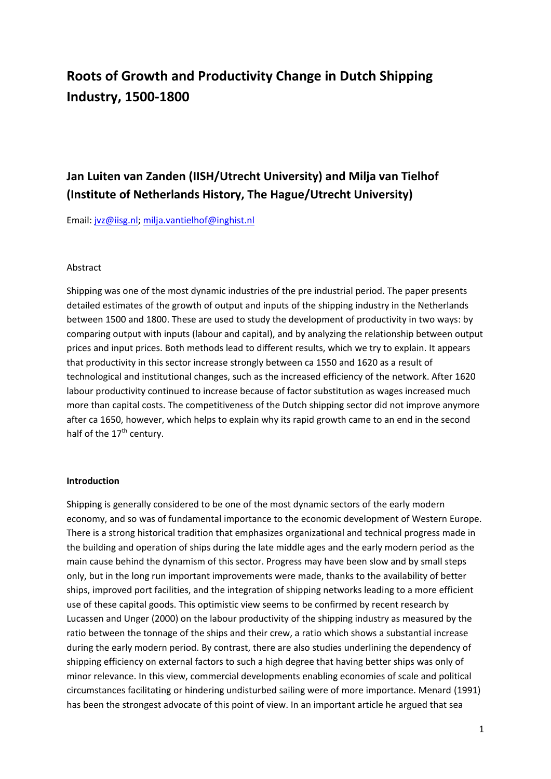# **Roots of Growth and Productivity Change in Dutch Shipping Industry, 1500-1800**

## **Jan Luiten van Zanden (IISH/Utrecht University) and Milja van Tielhof (Institute of Netherlands History, The Hague/Utrecht University)**

Email: [jvz@iisg.nl;](mailto:jvz@iisg.nl) [milja.vantielhof@inghist.nl](mailto:milja.vantielhof@inghist.nl)

#### Abstract

Shipping was one of the most dynamic industries of the pre industrial period. The paper presents detailed estimates of the growth of output and inputs of the shipping industry in the Netherlands between 1500 and 1800. These are used to study the development of productivity in two ways: by comparing output with inputs (labour and capital), and by analyzing the relationship between output prices and input prices. Both methods lead to different results, which we try to explain. It appears that productivity in this sector increase strongly between ca 1550 and 1620 as a result of technological and institutional changes, such as the increased efficiency of the network. After 1620 labour productivity continued to increase because of factor substitution as wages increased much more than capital costs. The competitiveness of the Dutch shipping sector did not improve anymore after ca 1650, however, which helps to explain why its rapid growth came to an end in the second half of the  $17<sup>th</sup>$  century.

#### **Introduction**

Shipping is generally considered to be one of the most dynamic sectors of the early modern economy, and so was of fundamental importance to the economic development of Western Europe. There is a strong historical tradition that emphasizes organizational and technical progress made in the building and operation of ships during the late middle ages and the early modern period as the main cause behind the dynamism of this sector. Progress may have been slow and by small steps only, but in the long run important improvements were made, thanks to the availability of better ships, improved port facilities, and the integration of shipping networks leading to a more efficient use of these capital goods. This optimistic view seems to be confirmed by recent research by Lucassen and Unger (2000) on the labour productivity of the shipping industry as measured by the ratio between the tonnage of the ships and their crew, a ratio which shows a substantial increase during the early modern period. By contrast, there are also studies underlining the dependency of shipping efficiency on external factors to such a high degree that having better ships was only of minor relevance. In this view, commercial developments enabling economies of scale and political circumstances facilitating or hindering undisturbed sailing were of more importance. Menard (1991) has been the strongest advocate of this point of view. In an important article he argued that sea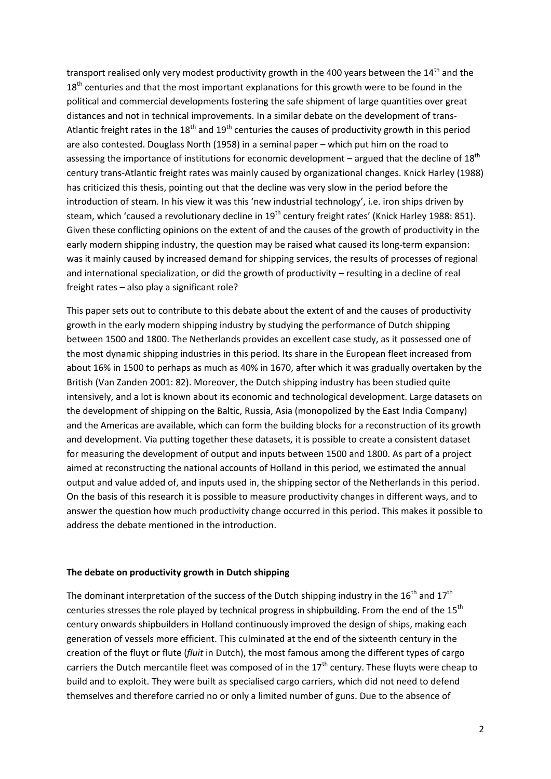transport realised only very modest productivity growth in the 400 years between the  $14<sup>th</sup>$  and the  $18<sup>th</sup>$  centuries and that the most important explanations for this growth were to be found in the political and commercial developments fostering the safe shipment of large quantities over great distances and not in technical improvements. In a similar debate on the development of trans-Atlantic freight rates in the  $18<sup>th</sup>$  and  $19<sup>th</sup>$  centuries the causes of productivity growth in this period are also contested. Douglass North (1958) in a seminal paper – which put him on the road to assessing the importance of institutions for economic development – argued that the decline of  $18<sup>th</sup>$ century trans-Atlantic freight rates was mainly caused by organizational changes. Knick Harley (1988) has criticized this thesis, pointing out that the decline was very slow in the period before the introduction of steam. In his view it was this 'new industrial technology', i.e. iron ships driven by steam, which 'caused a revolutionary decline in 19<sup>th</sup> century freight rates' (Knick Harley 1988: 851). Given these conflicting opinions on the extent of and the causes of the growth of productivity in the early modern shipping industry, the question may be raised what caused its long-term expansion: was it mainly caused by increased demand for shipping services, the results of processes of regional and international specialization, or did the growth of productivity – resulting in a decline of real freight rates – also play a significant role?

This paper sets out to contribute to this debate about the extent of and the causes of productivity growth in the early modern shipping industry by studying the performance of Dutch shipping between 1500 and 1800. The Netherlands provides an excellent case study, as it possessed one of the most dynamic shipping industries in this period. Its share in the European fleet increased from about 16% in 1500 to perhaps as much as 40% in 1670, after which it was gradually overtaken by the British (Van Zanden 2001: 82). Moreover, the Dutch shipping industry has been studied quite intensively, and a lot is known about its economic and technological development. Large datasets on the development of shipping on the Baltic, Russia, Asia (monopolized by the East India Company) and the Americas are available, which can form the building blocks for a reconstruction of its growth and development. Via putting together these datasets, it is possible to create a consistent dataset for measuring the development of output and inputs between 1500 and 1800. As part of a project aimed at reconstructing the national accounts of Holland in this period, we estimated the annual output and value added of, and inputs used in, the shipping sector of the Netherlands in this period. On the basis of this research it is possible to measure productivity changes in different ways, and to answer the question how much productivity change occurred in this period. This makes it possible to address the debate mentioned in the introduction.

## **The debate on productivity growth in Dutch shipping**

The dominant interpretation of the success of the Dutch shipping industry in the 16<sup>th</sup> and 17<sup>th</sup> centuries stresses the role played by technical progress in shipbuilding. From the end of the  $15<sup>th</sup>$ century onwards shipbuilders in Holland continuously improved the design of ships, making each generation of vessels more efficient. This culminated at the end of the sixteenth century in the creation of the fluyt or flute (*fluit* in Dutch), the most famous among the different types of cargo carriers the Dutch mercantile fleet was composed of in the  $17<sup>th</sup>$  century. These fluyts were cheap to build and to exploit. They were built as specialised cargo carriers, which did not need to defend themselves and therefore carried no or only a limited number of guns. Due to the absence of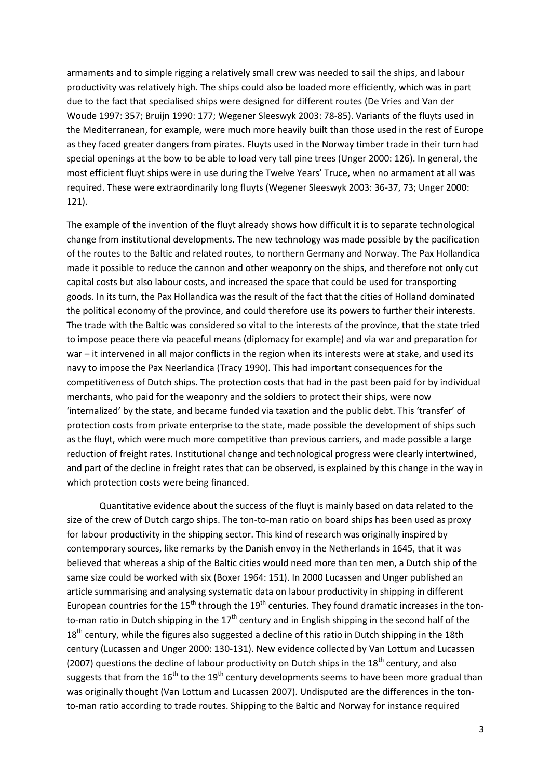armaments and to simple rigging a relatively small crew was needed to sail the ships, and labour productivity was relatively high. The ships could also be loaded more efficiently, which was in part due to the fact that specialised ships were designed for different routes (De Vries and Van der Woude 1997: 357; Bruijn 1990: 177; Wegener Sleeswyk 2003: 78-85). Variants of the fluyts used in the Mediterranean, for example, were much more heavily built than those used in the rest of Europe as they faced greater dangers from pirates. Fluyts used in the Norway timber trade in their turn had special openings at the bow to be able to load very tall pine trees (Unger 2000: 126). In general, the most efficient fluyt ships were in use during the Twelve Years' Truce, when no armament at all was required. These were extraordinarily long fluyts (Wegener Sleeswyk 2003: 36-37, 73; Unger 2000: 121).

The example of the invention of the fluyt already shows how difficult it is to separate technological change from institutional developments. The new technology was made possible by the pacification of the routes to the Baltic and related routes, to northern Germany and Norway. The Pax Hollandica made it possible to reduce the cannon and other weaponry on the ships, and therefore not only cut capital costs but also labour costs, and increased the space that could be used for transporting goods. In its turn, the Pax Hollandica was the result of the fact that the cities of Holland dominated the political economy of the province, and could therefore use its powers to further their interests. The trade with the Baltic was considered so vital to the interests of the province, that the state tried to impose peace there via peaceful means (diplomacy for example) and via war and preparation for war – it intervened in all major conflicts in the region when its interests were at stake, and used its navy to impose the Pax Neerlandica (Tracy 1990). This had important consequences for the competitiveness of Dutch ships. The protection costs that had in the past been paid for by individual merchants, who paid for the weaponry and the soldiers to protect their ships, were now 'internalized' by the state, and became funded via taxation and the public debt. This 'transfer' of protection costs from private enterprise to the state, made possible the development of ships such as the fluyt, which were much more competitive than previous carriers, and made possible a large reduction of freight rates. Institutional change and technological progress were clearly intertwined, and part of the decline in freight rates that can be observed, is explained by this change in the way in which protection costs were being financed.

Quantitative evidence about the success of the fluyt is mainly based on data related to the size of the crew of Dutch cargo ships. The ton-to-man ratio on board ships has been used as proxy for labour productivity in the shipping sector. This kind of research was originally inspired by contemporary sources, like remarks by the Danish envoy in the Netherlands in 1645, that it was believed that whereas a ship of the Baltic cities would need more than ten men, a Dutch ship of the same size could be worked with six (Boxer 1964: 151). In 2000 Lucassen and Unger published an article summarising and analysing systematic data on labour productivity in shipping in different European countries for the  $15<sup>th</sup>$  through the  $19<sup>th</sup>$  centuries. They found dramatic increases in the tonto-man ratio in Dutch shipping in the  $17<sup>th</sup>$  century and in English shipping in the second half of the  $18<sup>th</sup>$  century, while the figures also suggested a decline of this ratio in Dutch shipping in the 18th century (Lucassen and Unger 2000: 130-131). New evidence collected by Van Lottum and Lucassen (2007) questions the decline of labour productivity on Dutch ships in the  $18^{th}$  century, and also suggests that from the  $16<sup>th</sup>$  to the  $19<sup>th</sup>$  century developments seems to have been more gradual than was originally thought (Van Lottum and Lucassen 2007). Undisputed are the differences in the tonto-man ratio according to trade routes. Shipping to the Baltic and Norway for instance required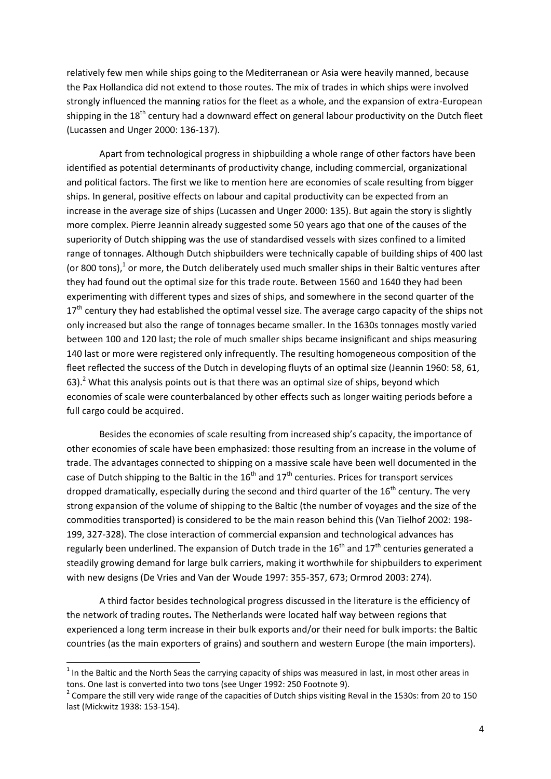relatively few men while ships going to the Mediterranean or Asia were heavily manned, because the Pax Hollandica did not extend to those routes. The mix of trades in which ships were involved strongly influenced the manning ratios for the fleet as a whole, and the expansion of extra-European shipping in the 18<sup>th</sup> century had a downward effect on general labour productivity on the Dutch fleet (Lucassen and Unger 2000: 136-137).

Apart from technological progress in shipbuilding a whole range of other factors have been identified as potential determinants of productivity change, including commercial, organizational and political factors. The first we like to mention here are economies of scale resulting from bigger ships. In general, positive effects on labour and capital productivity can be expected from an increase in the average size of ships (Lucassen and Unger 2000: 135). But again the story is slightly more complex. Pierre Jeannin already suggested some 50 years ago that one of the causes of the superiority of Dutch shipping was the use of standardised vessels with sizes confined to a limited range of tonnages. Although Dutch shipbuilders were technically capable of building ships of 400 last (or 800 tons),<sup>1</sup> or more, the Dutch deliberately used much smaller ships in their Baltic ventures after they had found out the optimal size for this trade route. Between 1560 and 1640 they had been experimenting with different types and sizes of ships, and somewhere in the second quarter of the 17<sup>th</sup> century they had established the optimal vessel size. The average cargo capacity of the ships not only increased but also the range of tonnages became smaller. In the 1630s tonnages mostly varied between 100 and 120 last; the role of much smaller ships became insignificant and ships measuring 140 last or more were registered only infrequently. The resulting homogeneous composition of the fleet reflected the success of the Dutch in developing fluyts of an optimal size (Jeannin 1960: 58, 61, 63). $^2$  What this analysis points out is that there was an optimal size of ships, beyond which economies of scale were counterbalanced by other effects such as longer waiting periods before a full cargo could be acquired.

Besides the economies of scale resulting from increased ship's capacity, the importance of other economies of scale have been emphasized: those resulting from an increase in the volume of trade. The advantages connected to shipping on a massive scale have been well documented in the case of Dutch shipping to the Baltic in the  $16<sup>th</sup>$  and  $17<sup>th</sup>$  centuries. Prices for transport services dropped dramatically, especially during the second and third quarter of the  $16<sup>th</sup>$  century. The very strong expansion of the volume of shipping to the Baltic (the number of voyages and the size of the commodities transported) is considered to be the main reason behind this (Van Tielhof 2002: 198- 199, 327-328). The close interaction of commercial expansion and technological advances has regularly been underlined. The expansion of Dutch trade in the  $16<sup>th</sup>$  and  $17<sup>th</sup>$  centuries generated a steadily growing demand for large bulk carriers, making it worthwhile for shipbuilders to experiment with new designs (De Vries and Van der Woude 1997: 355-357, 673; Ormrod 2003: 274).

A third factor besides technological progress discussed in the literature is the efficiency of the network of trading routes**.** The Netherlands were located half way between regions that experienced a long term increase in their bulk exports and/or their need for bulk imports: the Baltic countries (as the main exporters of grains) and southern and western Europe (the main importers).

1

 $<sup>1</sup>$  In the Baltic and the North Seas the carrying capacity of ships was measured in last, in most other areas in</sup> tons. One last is converted into two tons (see Unger 1992: 250 Footnote 9).

 $2$  Compare the still very wide range of the capacities of Dutch ships visiting Reval in the 1530s: from 20 to 150 last (Mickwitz 1938: 153-154).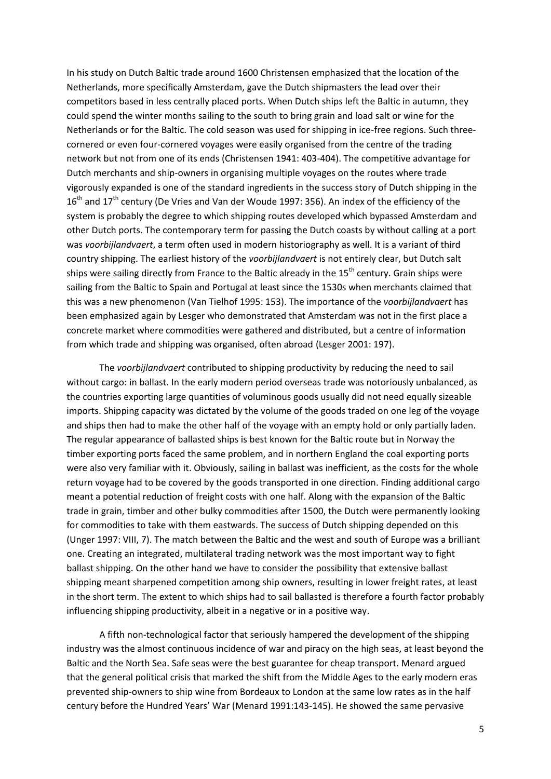In his study on Dutch Baltic trade around 1600 Christensen emphasized that the location of the Netherlands, more specifically Amsterdam, gave the Dutch shipmasters the lead over their competitors based in less centrally placed ports. When Dutch ships left the Baltic in autumn, they could spend the winter months sailing to the south to bring grain and load salt or wine for the Netherlands or for the Baltic. The cold season was used for shipping in ice-free regions. Such threecornered or even four-cornered voyages were easily organised from the centre of the trading network but not from one of its ends (Christensen 1941: 403-404). The competitive advantage for Dutch merchants and ship-owners in organising multiple voyages on the routes where trade vigorously expanded is one of the standard ingredients in the success story of Dutch shipping in the  $16<sup>th</sup>$  and  $17<sup>th</sup>$  century (De Vries and Van der Woude 1997: 356). An index of the efficiency of the system is probably the degree to which shipping routes developed which bypassed Amsterdam and other Dutch ports. The contemporary term for passing the Dutch coasts by without calling at a port was *voorbijlandvaert*, a term often used in modern historiography as well. It is a variant of third country shipping. The earliest history of the *voorbijlandvaert* is not entirely clear, but Dutch salt ships were sailing directly from France to the Baltic already in the 15<sup>th</sup> century. Grain ships were sailing from the Baltic to Spain and Portugal at least since the 1530s when merchants claimed that this was a new phenomenon (Van Tielhof 1995: 153). The importance of the *voorbijlandvaert* has been emphasized again by Lesger who demonstrated that Amsterdam was not in the first place a concrete market where commodities were gathered and distributed, but a centre of information from which trade and shipping was organised, often abroad (Lesger 2001: 197).

The *voorbijlandvaert* contributed to shipping productivity by reducing the need to sail without cargo: in ballast. In the early modern period overseas trade was notoriously unbalanced, as the countries exporting large quantities of voluminous goods usually did not need equally sizeable imports. Shipping capacity was dictated by the volume of the goods traded on one leg of the voyage and ships then had to make the other half of the voyage with an empty hold or only partially laden. The regular appearance of ballasted ships is best known for the Baltic route but in Norway the timber exporting ports faced the same problem, and in northern England the coal exporting ports were also very familiar with it. Obviously, sailing in ballast was inefficient, as the costs for the whole return voyage had to be covered by the goods transported in one direction. Finding additional cargo meant a potential reduction of freight costs with one half. Along with the expansion of the Baltic trade in grain, timber and other bulky commodities after 1500, the Dutch were permanently looking for commodities to take with them eastwards. The success of Dutch shipping depended on this (Unger 1997: VIII, 7). The match between the Baltic and the west and south of Europe was a brilliant one. Creating an integrated, multilateral trading network was the most important way to fight ballast shipping. On the other hand we have to consider the possibility that extensive ballast shipping meant sharpened competition among ship owners, resulting in lower freight rates, at least in the short term. The extent to which ships had to sail ballasted is therefore a fourth factor probably influencing shipping productivity, albeit in a negative or in a positive way.

A fifth non-technological factor that seriously hampered the development of the shipping industry was the almost continuous incidence of war and piracy on the high seas, at least beyond the Baltic and the North Sea. Safe seas were the best guarantee for cheap transport. Menard argued that the general political crisis that marked the shift from the Middle Ages to the early modern eras prevented ship-owners to ship wine from Bordeaux to London at the same low rates as in the half century before the Hundred Years' War (Menard 1991:143-145). He showed the same pervasive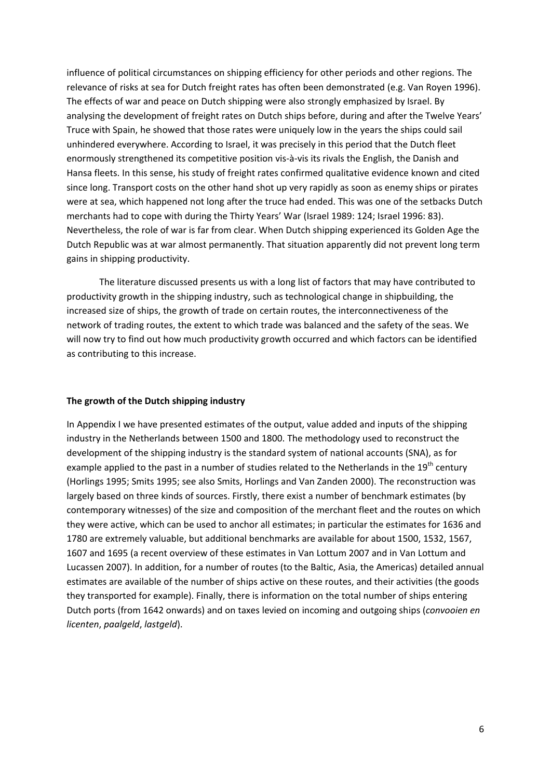influence of political circumstances on shipping efficiency for other periods and other regions. The relevance of risks at sea for Dutch freight rates has often been demonstrated (e.g. Van Royen 1996). The effects of war and peace on Dutch shipping were also strongly emphasized by Israel. By analysing the development of freight rates on Dutch ships before, during and after the Twelve Years' Truce with Spain, he showed that those rates were uniquely low in the years the ships could sail unhindered everywhere. According to Israel, it was precisely in this period that the Dutch fleet enormously strengthened its competitive position vis-à-vis its rivals the English, the Danish and Hansa fleets. In this sense, his study of freight rates confirmed qualitative evidence known and cited since long. Transport costs on the other hand shot up very rapidly as soon as enemy ships or pirates were at sea, which happened not long after the truce had ended. This was one of the setbacks Dutch merchants had to cope with during the Thirty Years' War (Israel 1989: 124; Israel 1996: 83). Nevertheless, the role of war is far from clear. When Dutch shipping experienced its Golden Age the Dutch Republic was at war almost permanently. That situation apparently did not prevent long term gains in shipping productivity.

The literature discussed presents us with a long list of factors that may have contributed to productivity growth in the shipping industry, such as technological change in shipbuilding, the increased size of ships, the growth of trade on certain routes, the interconnectiveness of the network of trading routes, the extent to which trade was balanced and the safety of the seas. We will now try to find out how much productivity growth occurred and which factors can be identified as contributing to this increase.

#### **The growth of the Dutch shipping industry**

In Appendix I we have presented estimates of the output, value added and inputs of the shipping industry in the Netherlands between 1500 and 1800. The methodology used to reconstruct the development of the shipping industry is the standard system of national accounts (SNA), as for example applied to the past in a number of studies related to the Netherlands in the  $19<sup>th</sup>$  century (Horlings 1995; Smits 1995; see also Smits, Horlings and Van Zanden 2000). The reconstruction was largely based on three kinds of sources. Firstly, there exist a number of benchmark estimates (by contemporary witnesses) of the size and composition of the merchant fleet and the routes on which they were active, which can be used to anchor all estimates; in particular the estimates for 1636 and 1780 are extremely valuable, but additional benchmarks are available for about 1500, 1532, 1567, 1607 and 1695 (a recent overview of these estimates in Van Lottum 2007 and in Van Lottum and Lucassen 2007). In addition, for a number of routes (to the Baltic, Asia, the Americas) detailed annual estimates are available of the number of ships active on these routes, and their activities (the goods they transported for example). Finally, there is information on the total number of ships entering Dutch ports (from 1642 onwards) and on taxes levied on incoming and outgoing ships (*convooien en licenten*, *paalgeld*, *lastgeld*).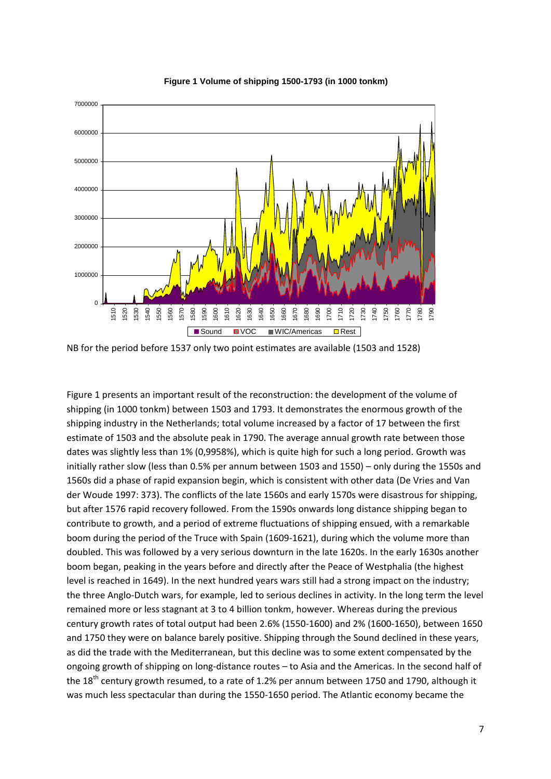

**Figure 1 Volume of shipping 1500-1793 (in 1000 tonkm)**

Figure 1 presents an important result of the reconstruction: the development of the volume of shipping (in 1000 tonkm) between 1503 and 1793. It demonstrates the enormous growth of the shipping industry in the Netherlands; total volume increased by a factor of 17 between the first estimate of 1503 and the absolute peak in 1790. The average annual growth rate between those dates was slightly less than 1% (0,9958%), which is quite high for such a long period. Growth was initially rather slow (less than 0.5% per annum between 1503 and 1550) – only during the 1550s and 1560s did a phase of rapid expansion begin, which is consistent with other data (De Vries and Van der Woude 1997: 373). The conflicts of the late 1560s and early 1570s were disastrous for shipping, but after 1576 rapid recovery followed. From the 1590s onwards long distance shipping began to contribute to growth, and a period of extreme fluctuations of shipping ensued, with a remarkable boom during the period of the Truce with Spain (1609-1621), during which the volume more than doubled. This was followed by a very serious downturn in the late 1620s. In the early 1630s another boom began, peaking in the years before and directly after the Peace of Westphalia (the highest level is reached in 1649). In the next hundred years wars still had a strong impact on the industry; the three Anglo-Dutch wars, for example, led to serious declines in activity. In the long term the level remained more or less stagnant at 3 to 4 billion tonkm, however. Whereas during the previous century growth rates of total output had been 2.6% (1550-1600) and 2% (1600-1650), between 1650 and 1750 they were on balance barely positive. Shipping through the Sound declined in these years, as did the trade with the Mediterranean, but this decline was to some extent compensated by the ongoing growth of shipping on long-distance routes – to Asia and the Americas. In the second half of the 18<sup>th</sup> century growth resumed, to a rate of 1.2% per annum between 1750 and 1790, although it was much less spectacular than during the 1550-1650 period. The Atlantic economy became the

NB for the period before 1537 only two point estimates are available (1503 and 1528)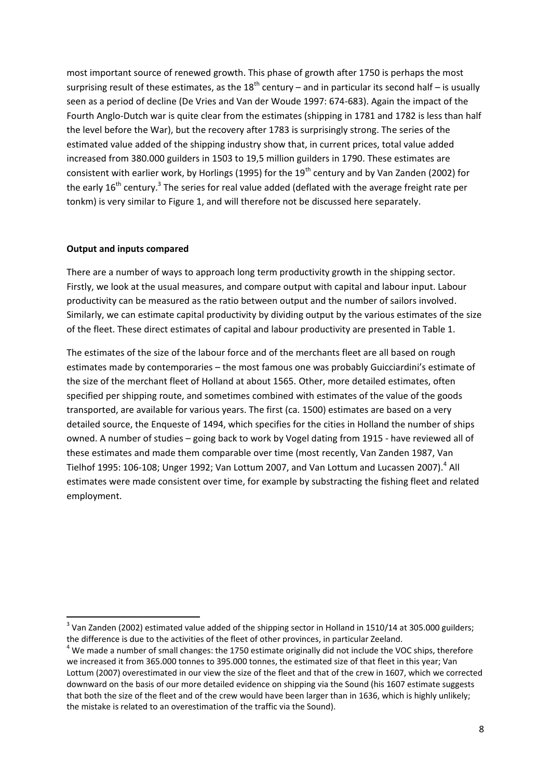most important source of renewed growth. This phase of growth after 1750 is perhaps the most surprising result of these estimates, as the 18<sup>th</sup> century – and in particular its second half – is usually seen as a period of decline (De Vries and Van der Woude 1997: 674-683). Again the impact of the Fourth Anglo-Dutch war is quite clear from the estimates (shipping in 1781 and 1782 is less than half the level before the War), but the recovery after 1783 is surprisingly strong. The series of the estimated value added of the shipping industry show that, in current prices, total value added increased from 380.000 guilders in 1503 to 19,5 million guilders in 1790. These estimates are consistent with earlier work, by Horlings (1995) for the  $19<sup>th</sup>$  century and by Van Zanden (2002) for the early 16<sup>th</sup> century.<sup>3</sup> The series for real value added (deflated with the average freight rate per tonkm) is very similar to Figure 1, and will therefore not be discussed here separately.

#### **Output and inputs compared**

**.** 

There are a number of ways to approach long term productivity growth in the shipping sector. Firstly, we look at the usual measures, and compare output with capital and labour input. Labour productivity can be measured as the ratio between output and the number of sailors involved. Similarly, we can estimate capital productivity by dividing output by the various estimates of the size of the fleet. These direct estimates of capital and labour productivity are presented in Table 1.

The estimates of the size of the labour force and of the merchants fleet are all based on rough estimates made by contemporaries – the most famous one was probably Guicciardini's estimate of the size of the merchant fleet of Holland at about 1565. Other, more detailed estimates, often specified per shipping route, and sometimes combined with estimates of the value of the goods transported, are available for various years. The first (ca. 1500) estimates are based on a very detailed source, the Enqueste of 1494, which specifies for the cities in Holland the number of ships owned. A number of studies – going back to work by Vogel dating from 1915 - have reviewed all of these estimates and made them comparable over time (most recently, Van Zanden 1987, Van Tielhof 1995: 106-108; Unger 1992; Van Lottum 2007, and Van Lottum and Lucassen 2007).<sup>4</sup> All estimates were made consistent over time, for example by substracting the fishing fleet and related employment.

 $3$  Van Zanden (2002) estimated value added of the shipping sector in Holland in 1510/14 at 305.000 guilders; the difference is due to the activities of the fleet of other provinces, in particular Zeeland.

 $4$  We made a number of small changes: the 1750 estimate originally did not include the VOC ships, therefore we increased it from 365.000 tonnes to 395.000 tonnes, the estimated size of that fleet in this year; Van Lottum (2007) overestimated in our view the size of the fleet and that of the crew in 1607, which we corrected downward on the basis of our more detailed evidence on shipping via the Sound (his 1607 estimate suggests that both the size of the fleet and of the crew would have been larger than in 1636, which is highly unlikely; the mistake is related to an overestimation of the traffic via the Sound).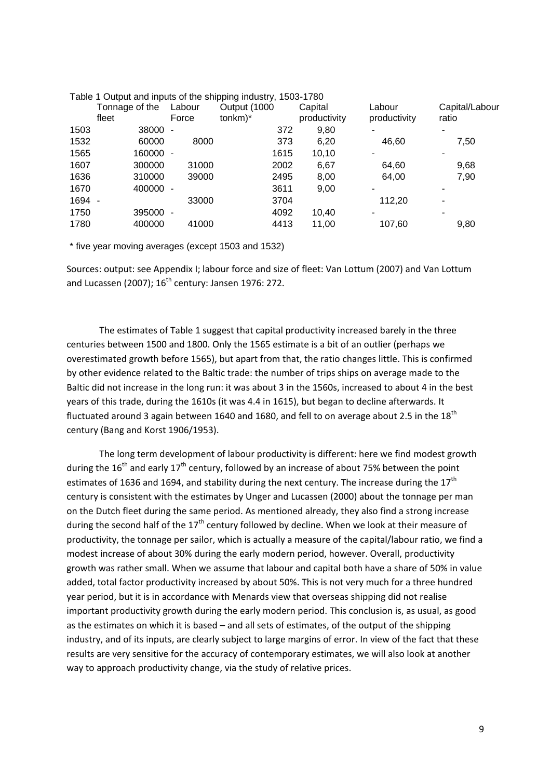|      |                |        | Table 1 Output and inputs of the shipping industry, 1503-1780 |              |                          |                |
|------|----------------|--------|---------------------------------------------------------------|--------------|--------------------------|----------------|
|      | Tonnage of the | Labour | Output (1000                                                  | Capital      | Labour                   | Capital/Labour |
|      | fleet          | Force  | $tonkm)*$                                                     | productivity | productivity             | ratio          |
| 1503 | 38000          | ٠      | 372                                                           | 9,80         |                          |                |
| 1532 | 60000          | 8000   | 373                                                           | 6,20         | 46.60                    | 7,50           |
| 1565 | 160000 -       |        | 1615                                                          | 10, 10       | $\overline{\phantom{0}}$ |                |
| 1607 | 300000         | 31000  | 2002                                                          | 6,67         | 64,60                    | 9,68           |
| 1636 | 310000         | 39000  | 2495                                                          | 8,00         | 64,00                    | 7,90           |
| 1670 | 400000 -       |        | 3611                                                          | 9,00         | ٠                        |                |
| 1694 |                | 33000  | 3704                                                          |              | 112,20                   |                |
| 1750 | 395000         | ٠      | 4092                                                          | 10,40        | ٠                        |                |
| 1780 | 400000         | 41000  | 4413                                                          | 11,00        | 107,60                   | 9,80           |
|      |                |        |                                                               |              |                          |                |

\* five year moving averages (except 1503 and 1532)

Sources: output: see Appendix I; labour force and size of fleet: Van Lottum (2007) and Van Lottum and Lucassen (2007);  $16<sup>th</sup>$  century: Jansen 1976: 272.

The estimates of Table 1 suggest that capital productivity increased barely in the three centuries between 1500 and 1800. Only the 1565 estimate is a bit of an outlier (perhaps we overestimated growth before 1565), but apart from that, the ratio changes little. This is confirmed by other evidence related to the Baltic trade: the number of trips ships on average made to the Baltic did not increase in the long run: it was about 3 in the 1560s, increased to about 4 in the best years of this trade, during the 1610s (it was 4.4 in 1615), but began to decline afterwards. It fluctuated around 3 again between 1640 and 1680, and fell to on average about 2.5 in the 18<sup>th</sup> century (Bang and Korst 1906/1953).

The long term development of labour productivity is different: here we find modest growth during the 16<sup>th</sup> and early 17<sup>th</sup> century, followed by an increase of about 75% between the point estimates of 1636 and 1694, and stability during the next century. The increase during the  $17<sup>th</sup>$ century is consistent with the estimates by Unger and Lucassen (2000) about the tonnage per man on the Dutch fleet during the same period. As mentioned already, they also find a strong increase during the second half of the  $17<sup>th</sup>$  century followed by decline. When we look at their measure of productivity, the tonnage per sailor, which is actually a measure of the capital/labour ratio, we find a modest increase of about 30% during the early modern period, however. Overall, productivity growth was rather small. When we assume that labour and capital both have a share of 50% in value added, total factor productivity increased by about 50%. This is not very much for a three hundred year period, but it is in accordance with Menards view that overseas shipping did not realise important productivity growth during the early modern period. This conclusion is, as usual, as good as the estimates on which it is based – and all sets of estimates, of the output of the shipping industry, and of its inputs, are clearly subject to large margins of error. In view of the fact that these results are very sensitive for the accuracy of contemporary estimates, we will also look at another way to approach productivity change, via the study of relative prices.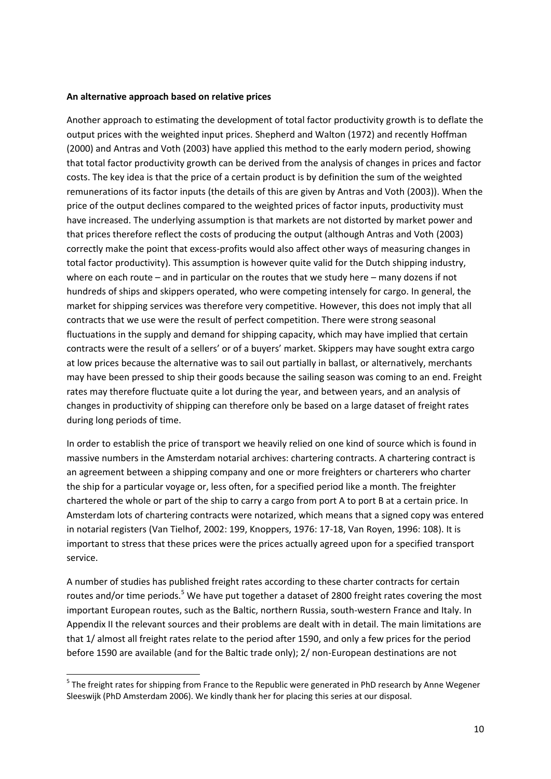#### **An alternative approach based on relative prices**

Another approach to estimating the development of total factor productivity growth is to deflate the output prices with the weighted input prices. Shepherd and Walton (1972) and recently Hoffman (2000) and Antras and Voth (2003) have applied this method to the early modern period, showing that total factor productivity growth can be derived from the analysis of changes in prices and factor costs. The key idea is that the price of a certain product is by definition the sum of the weighted remunerations of its factor inputs (the details of this are given by Antras and Voth (2003)). When the price of the output declines compared to the weighted prices of factor inputs, productivity must have increased. The underlying assumption is that markets are not distorted by market power and that prices therefore reflect the costs of producing the output (although Antras and Voth (2003) correctly make the point that excess-profits would also affect other ways of measuring changes in total factor productivity). This assumption is however quite valid for the Dutch shipping industry, where on each route – and in particular on the routes that we study here – many dozens if not hundreds of ships and skippers operated, who were competing intensely for cargo. In general, the market for shipping services was therefore very competitive. However, this does not imply that all contracts that we use were the result of perfect competition. There were strong seasonal fluctuations in the supply and demand for shipping capacity, which may have implied that certain contracts were the result of a sellers' or of a buyers' market. Skippers may have sought extra cargo at low prices because the alternative was to sail out partially in ballast, or alternatively, merchants may have been pressed to ship their goods because the sailing season was coming to an end. Freight rates may therefore fluctuate quite a lot during the year, and between years, and an analysis of changes in productivity of shipping can therefore only be based on a large dataset of freight rates during long periods of time.

In order to establish the price of transport we heavily relied on one kind of source which is found in massive numbers in the Amsterdam notarial archives: chartering contracts. A chartering contract is an agreement between a shipping company and one or more freighters or charterers who charter the ship for a particular voyage or, less often, for a specified period like a month. The freighter chartered the whole or part of the ship to carry a cargo from port A to port B at a certain price. In Amsterdam lots of chartering contracts were notarized, which means that a signed copy was entered in notarial registers (Van Tielhof, 2002: 199, Knoppers, 1976: 17-18, Van Royen, 1996: 108). It is important to stress that these prices were the prices actually agreed upon for a specified transport service.

A number of studies has published freight rates according to these charter contracts for certain routes and/or time periods.<sup>5</sup> We have put together a dataset of 2800 freight rates covering the most important European routes, such as the Baltic, northern Russia, south-western France and Italy. In Appendix II the relevant sources and their problems are dealt with in detail. The main limitations are that 1/ almost all freight rates relate to the period after 1590, and only a few prices for the period before 1590 are available (and for the Baltic trade only); 2/ non-European destinations are not

**.** 

<sup>&</sup>lt;sup>5</sup> The freight rates for shipping from France to the Republic were generated in PhD research by Anne Wegener Sleeswijk (PhD Amsterdam 2006). We kindly thank her for placing this series at our disposal.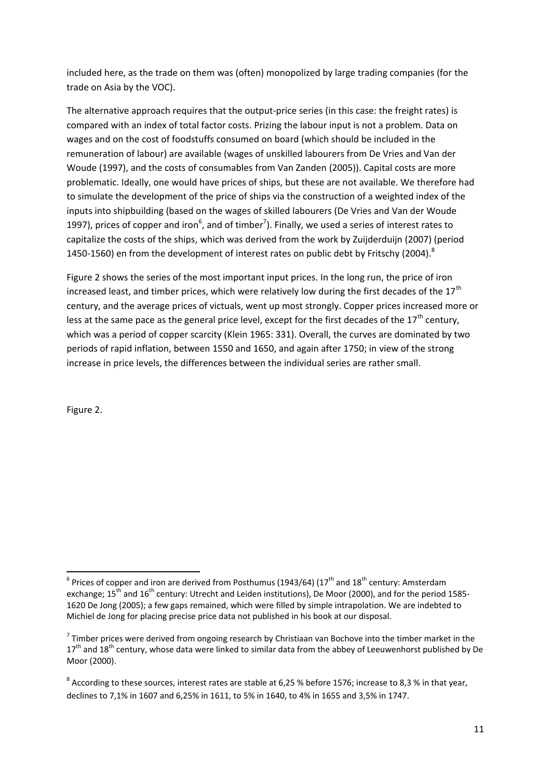included here, as the trade on them was (often) monopolized by large trading companies (for the trade on Asia by the VOC).

The alternative approach requires that the output-price series (in this case: the freight rates) is compared with an index of total factor costs. Prizing the labour input is not a problem. Data on wages and on the cost of foodstuffs consumed on board (which should be included in the remuneration of labour) are available (wages of unskilled labourers from De Vries and Van der Woude (1997), and the costs of consumables from Van Zanden (2005)). Capital costs are more problematic. Ideally, one would have prices of ships, but these are not available. We therefore had to simulate the development of the price of ships via the construction of a weighted index of the inputs into shipbuilding (based on the wages of skilled labourers (De Vries and Van der Woude 1997), prices of copper and iron<sup>6</sup>, and of timber<sup>7</sup>). Finally, we used a series of interest rates to capitalize the costs of the ships, which was derived from the work by Zuijderduijn (2007) (period 1450-1560) en from the development of interest rates on public debt by Fritschy (2004).<sup>8</sup>

Figure 2 shows the series of the most important input prices. In the long run, the price of iron increased least, and timber prices, which were relatively low during the first decades of the 17<sup>th</sup> century, and the average prices of victuals, went up most strongly. Copper prices increased more or less at the same pace as the general price level, except for the first decades of the  $17<sup>th</sup>$  century, which was a period of copper scarcity (Klein 1965: 331). Overall, the curves are dominated by two periods of rapid inflation, between 1550 and 1650, and again after 1750; in view of the strong increase in price levels, the differences between the individual series are rather small.

Figure 2.

**.** 

 $^6$  Prices of copper and iron are derived from Posthumus (1943/64) (17<sup>th</sup> and 18<sup>th</sup> century: Amsterdam exchange; 15<sup>th</sup> and 16<sup>th</sup> century: Utrecht and Leiden institutions), De Moor (2000), and for the period 1585-1620 De Jong (2005); a few gaps remained, which were filled by simple intrapolation. We are indebted to Michiel de Jong for placing precise price data not published in his book at our disposal.

 $7$  Timber prices were derived from ongoing research by Christiaan van Bochove into the timber market in the  $17<sup>th</sup>$  and  $18<sup>th</sup>$  century, whose data were linked to similar data from the abbey of Leeuwenhorst published by De Moor (2000).

 $^8$  According to these sources, interest rates are stable at 6,25 % before 1576; increase to 8,3 % in that year, declines to 7,1% in 1607 and 6,25% in 1611, to 5% in 1640, to 4% in 1655 and 3,5% in 1747.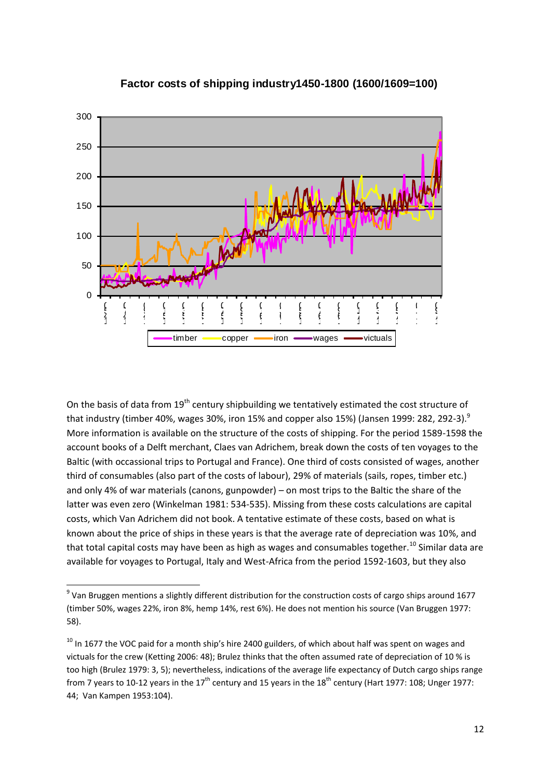

## **Factor costs of shipping industry1450-1800 (1600/1609=100)**

On the basis of data from 19<sup>th</sup> century shipbuilding we tentatively estimated the cost structure of that industry (timber 40%, wages 30%, iron 15% and copper also 15%) (Jansen 1999: 282, 292-3).<sup>9</sup> More information is available on the structure of the costs of shipping. For the period 1589-1598 the account books of a Delft merchant, Claes van Adrichem, break down the costs of ten voyages to the Baltic (with occassional trips to Portugal and France). One third of costs consisted of wages, another third of consumables (also part of the costs of labour), 29% of materials (sails, ropes, timber etc.) and only 4% of war materials (canons, gunpowder) – on most trips to the Baltic the share of the latter was even zero (Winkelman 1981: 534-535). Missing from these costs calculations are capital costs, which Van Adrichem did not book. A tentative estimate of these costs, based on what is known about the price of ships in these years is that the average rate of depreciation was 10%, and that total capital costs may have been as high as wages and consumables together.<sup>10</sup> Similar data are available for voyages to Portugal, Italy and West-Africa from the period 1592-1603, but they also

 9 Van Bruggen mentions a slightly different distribution for the construction costs of cargo ships around 1677 (timber 50%, wages 22%, iron 8%, hemp 14%, rest 6%). He does not mention his source (Van Bruggen 1977: 58).

 In 1677 the VOC paid for a month ship's hire 2400 guilders, of which about half was spent on wages and victuals for the crew (Ketting 2006: 48); Brulez thinks that the often assumed rate of depreciation of 10 % is too high (Brulez 1979: 3, 5); nevertheless, indications of the average life expectancy of Dutch cargo ships range from 7 years to 10-12 years in the 17<sup>th</sup> century and 15 years in the 18<sup>th</sup> century (Hart 1977: 108; Unger 1977: 44; Van Kampen 1953:104).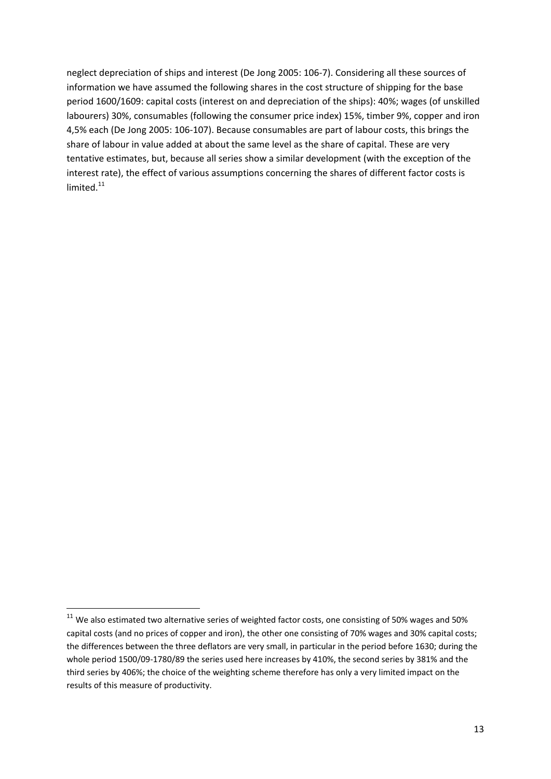neglect depreciation of ships and interest (De Jong 2005: 106-7). Considering all these sources of information we have assumed the following shares in the cost structure of shipping for the base period 1600/1609: capital costs (interest on and depreciation of the ships): 40%; wages (of unskilled labourers) 30%, consumables (following the consumer price index) 15%, timber 9%, copper and iron 4,5% each (De Jong 2005: 106-107). Because consumables are part of labour costs, this brings the share of labour in value added at about the same level as the share of capital. These are very tentative estimates, but, because all series show a similar development (with the exception of the interest rate), the effect of various assumptions concerning the shares of different factor costs is limited. $11$ 

1

 $11$  We also estimated two alternative series of weighted factor costs, one consisting of 50% wages and 50% capital costs (and no prices of copper and iron), the other one consisting of 70% wages and 30% capital costs; the differences between the three deflators are very small, in particular in the period before 1630; during the whole period 1500/09-1780/89 the series used here increases by 410%, the second series by 381% and the third series by 406%; the choice of the weighting scheme therefore has only a very limited impact on the results of this measure of productivity.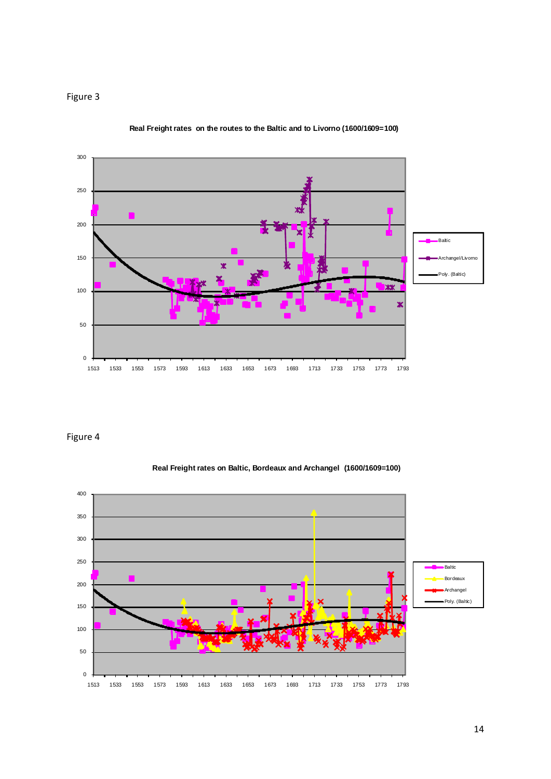## Figure 3



**Real Freight rates on the routes to the Baltic and to Livorno (1600/1609=100)**

## Figure 4



**Real Freight rates on Baltic, Bordeaux and Archangel (1600/1609=100)**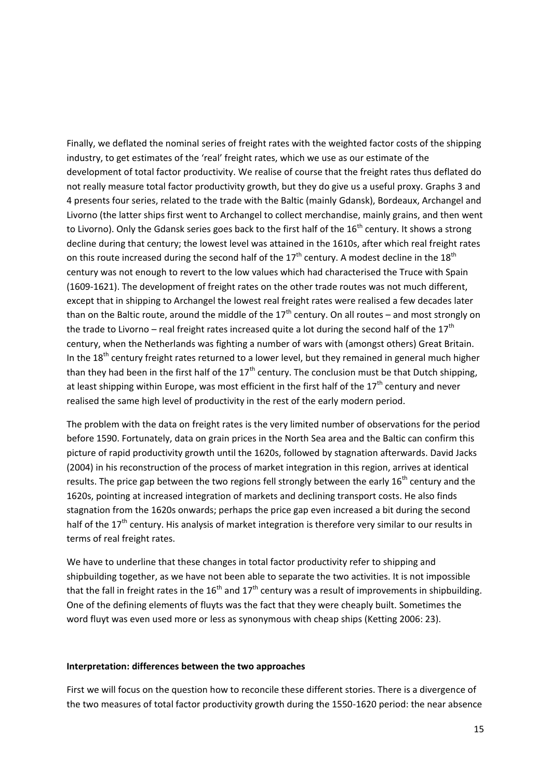Finally, we deflated the nominal series of freight rates with the weighted factor costs of the shipping industry, to get estimates of the 'real' freight rates, which we use as our estimate of the development of total factor productivity. We realise of course that the freight rates thus deflated do not really measure total factor productivity growth, but they do give us a useful proxy. Graphs 3 and 4 presents four series, related to the trade with the Baltic (mainly Gdansk), Bordeaux, Archangel and Livorno (the latter ships first went to Archangel to collect merchandise, mainly grains, and then went to Livorno). Only the Gdansk series goes back to the first half of the  $16<sup>th</sup>$  century. It shows a strong decline during that century; the lowest level was attained in the 1610s, after which real freight rates on this route increased during the second half of the  $17<sup>th</sup>$  century. A modest decline in the  $18<sup>th</sup>$ century was not enough to revert to the low values which had characterised the Truce with Spain (1609-1621). The development of freight rates on the other trade routes was not much different, except that in shipping to Archangel the lowest real freight rates were realised a few decades later than on the Baltic route, around the middle of the  $17<sup>th</sup>$  century. On all routes – and most strongly on the trade to Livorno – real freight rates increased quite a lot during the second half of the  $17<sup>th</sup>$ century, when the Netherlands was fighting a number of wars with (amongst others) Great Britain. In the  $18<sup>th</sup>$  century freight rates returned to a lower level, but they remained in general much higher than they had been in the first half of the  $17<sup>th</sup>$  century. The conclusion must be that Dutch shipping, at least shipping within Europe, was most efficient in the first half of the  $17<sup>th</sup>$  century and never realised the same high level of productivity in the rest of the early modern period.

The problem with the data on freight rates is the very limited number of observations for the period before 1590. Fortunately, data on grain prices in the North Sea area and the Baltic can confirm this picture of rapid productivity growth until the 1620s, followed by stagnation afterwards. David Jacks (2004) in his reconstruction of the process of market integration in this region, arrives at identical results. The price gap between the two regions fell strongly between the early  $16^{th}$  century and the 1620s, pointing at increased integration of markets and declining transport costs. He also finds stagnation from the 1620s onwards; perhaps the price gap even increased a bit during the second half of the 17<sup>th</sup> century. His analysis of market integration is therefore very similar to our results in terms of real freight rates.

We have to underline that these changes in total factor productivity refer to shipping and shipbuilding together, as we have not been able to separate the two activities. It is not impossible that the fall in freight rates in the  $16<sup>th</sup>$  and  $17<sup>th</sup>$  century was a result of improvements in shipbuilding. One of the defining elements of fluyts was the fact that they were cheaply built. Sometimes the word fluyt was even used more or less as synonymous with cheap ships (Ketting 2006: 23).

#### **Interpretation: differences between the two approaches**

First we will focus on the question how to reconcile these different stories. There is a divergence of the two measures of total factor productivity growth during the 1550-1620 period: the near absence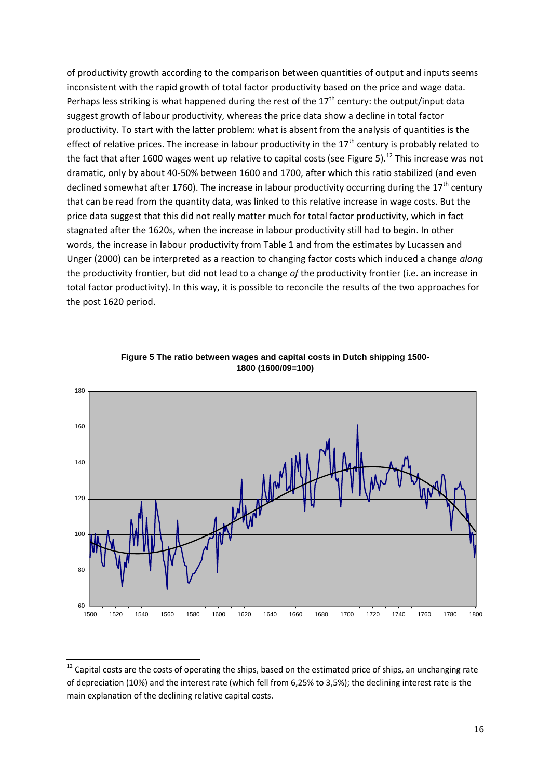of productivity growth according to the comparison between quantities of output and inputs seems inconsistent with the rapid growth of total factor productivity based on the price and wage data. Perhaps less striking is what happened during the rest of the  $17<sup>th</sup>$  century: the output/input data suggest growth of labour productivity, whereas the price data show a decline in total factor productivity. To start with the latter problem: what is absent from the analysis of quantities is the effect of relative prices. The increase in labour productivity in the  $17<sup>th</sup>$  century is probably related to the fact that after 1600 wages went up relative to capital costs (see Figure 5).<sup>12</sup> This increase was not dramatic, only by about 40-50% between 1600 and 1700, after which this ratio stabilized (and even declined somewhat after 1760). The increase in labour productivity occurring during the  $17<sup>th</sup>$  century that can be read from the quantity data, was linked to this relative increase in wage costs. But the price data suggest that this did not really matter much for total factor productivity, which in fact stagnated after the 1620s, when the increase in labour productivity still had to begin. In other words, the increase in labour productivity from Table 1 and from the estimates by Lucassen and Unger (2000) can be interpreted as a reaction to changing factor costs which induced a change *along* the productivity frontier, but did not lead to a change *of* the productivity frontier (i.e. an increase in total factor productivity). In this way, it is possible to reconcile the results of the two approaches for the post 1620 period.



**Figure 5 The ratio between wages and capital costs in Dutch shipping 1500- 1800 (1600/09=100)**

**.** 

 $12$  Capital costs are the costs of operating the ships, based on the estimated price of ships, an unchanging rate of depreciation (10%) and the interest rate (which fell from 6,25% to 3,5%); the declining interest rate is the main explanation of the declining relative capital costs.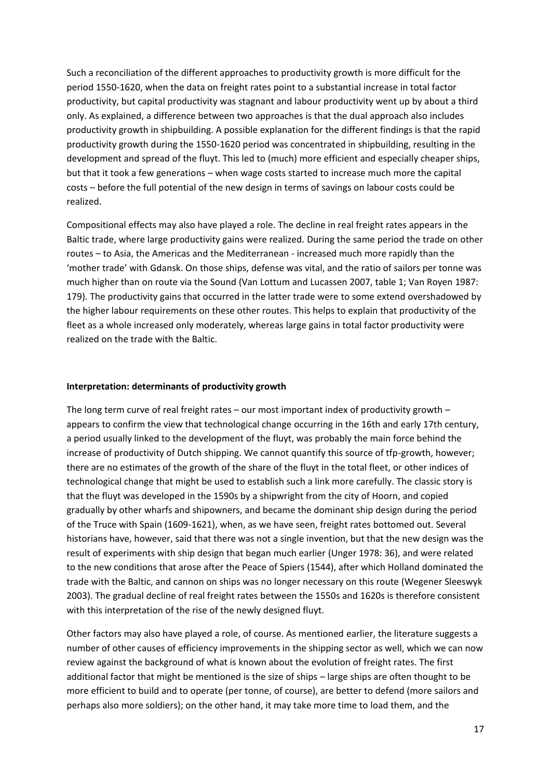Such a reconciliation of the different approaches to productivity growth is more difficult for the period 1550-1620, when the data on freight rates point to a substantial increase in total factor productivity, but capital productivity was stagnant and labour productivity went up by about a third only. As explained, a difference between two approaches is that the dual approach also includes productivity growth in shipbuilding. A possible explanation for the different findings is that the rapid productivity growth during the 1550-1620 period was concentrated in shipbuilding, resulting in the development and spread of the fluyt. This led to (much) more efficient and especially cheaper ships, but that it took a few generations – when wage costs started to increase much more the capital costs – before the full potential of the new design in terms of savings on labour costs could be realized.

Compositional effects may also have played a role. The decline in real freight rates appears in the Baltic trade, where large productivity gains were realized. During the same period the trade on other routes – to Asia, the Americas and the Mediterranean - increased much more rapidly than the 'mother trade' with Gdansk. On those ships, defense was vital, and the ratio of sailors per tonne was much higher than on route via the Sound (Van Lottum and Lucassen 2007, table 1; Van Royen 1987: 179). The productivity gains that occurred in the latter trade were to some extend overshadowed by the higher labour requirements on these other routes. This helps to explain that productivity of the fleet as a whole increased only moderately, whereas large gains in total factor productivity were realized on the trade with the Baltic.

#### **Interpretation: determinants of productivity growth**

The long term curve of real freight rates – our most important index of productivity growth – appears to confirm the view that technological change occurring in the 16th and early 17th century, a period usually linked to the development of the fluyt, was probably the main force behind the increase of productivity of Dutch shipping. We cannot quantify this source of tfp-growth, however; there are no estimates of the growth of the share of the fluyt in the total fleet, or other indices of technological change that might be used to establish such a link more carefully. The classic story is that the fluyt was developed in the 1590s by a shipwright from the city of Hoorn, and copied gradually by other wharfs and shipowners, and became the dominant ship design during the period of the Truce with Spain (1609-1621), when, as we have seen, freight rates bottomed out. Several historians have, however, said that there was not a single invention, but that the new design was the result of experiments with ship design that began much earlier (Unger 1978: 36), and were related to the new conditions that arose after the Peace of Spiers (1544), after which Holland dominated the trade with the Baltic, and cannon on ships was no longer necessary on this route (Wegener Sleeswyk 2003). The gradual decline of real freight rates between the 1550s and 1620s is therefore consistent with this interpretation of the rise of the newly designed fluyt.

Other factors may also have played a role, of course. As mentioned earlier, the literature suggests a number of other causes of efficiency improvements in the shipping sector as well, which we can now review against the background of what is known about the evolution of freight rates. The first additional factor that might be mentioned is the size of ships – large ships are often thought to be more efficient to build and to operate (per tonne, of course), are better to defend (more sailors and perhaps also more soldiers); on the other hand, it may take more time to load them, and the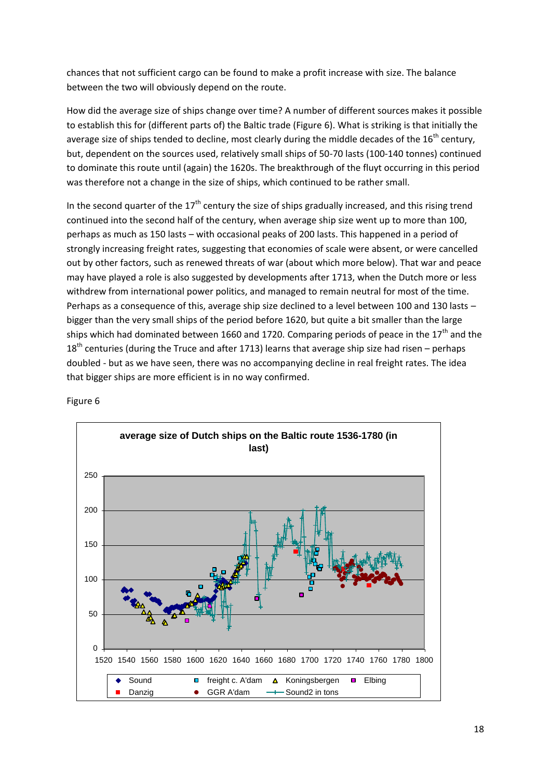chances that not sufficient cargo can be found to make a profit increase with size. The balance between the two will obviously depend on the route.

How did the average size of ships change over time? A number of different sources makes it possible to establish this for (different parts of) the Baltic trade (Figure 6). What is striking is that initially the average size of ships tended to decline, most clearly during the middle decades of the  $16<sup>th</sup>$  century, but, dependent on the sources used, relatively small ships of 50-70 lasts (100-140 tonnes) continued to dominate this route until (again) the 1620s. The breakthrough of the fluyt occurring in this period was therefore not a change in the size of ships, which continued to be rather small.

In the second quarter of the  $17<sup>th</sup>$  century the size of ships gradually increased, and this rising trend continued into the second half of the century, when average ship size went up to more than 100, perhaps as much as 150 lasts – with occasional peaks of 200 lasts. This happened in a period of strongly increasing freight rates, suggesting that economies of scale were absent, or were cancelled out by other factors, such as renewed threats of war (about which more below). That war and peace may have played a role is also suggested by developments after 1713, when the Dutch more or less withdrew from international power politics, and managed to remain neutral for most of the time. Perhaps as a consequence of this, average ship size declined to a level between 100 and 130 lasts – bigger than the very small ships of the period before 1620, but quite a bit smaller than the large ships which had dominated between 1660 and 1720. Comparing periods of peace in the  $17<sup>th</sup>$  and the  $18<sup>th</sup>$  centuries (during the Truce and after 1713) learns that average ship size had risen – perhaps doubled - but as we have seen, there was no accompanying decline in real freight rates. The idea that bigger ships are more efficient is in no way confirmed.



Figure 6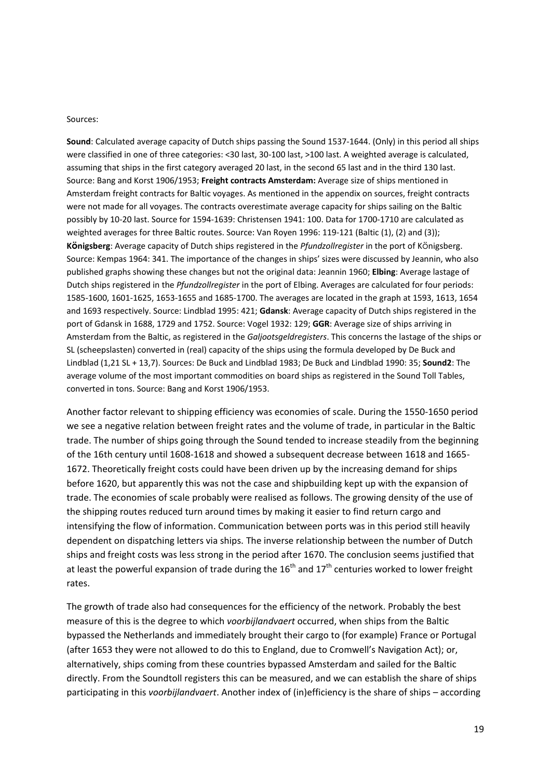#### Sources:

**Sound**: Calculated average capacity of Dutch ships passing the Sound 1537-1644. (Only) in this period all ships were classified in one of three categories: <30 last, 30-100 last, >100 last. A weighted average is calculated, assuming that ships in the first category averaged 20 last, in the second 65 last and in the third 130 last. Source: Bang and Korst 1906/1953; **Freight contracts Amsterdam:** Average size of ships mentioned in Amsterdam freight contracts for Baltic voyages. As mentioned in the appendix on sources, freight contracts were not made for all voyages. The contracts overestimate average capacity for ships sailing on the Baltic possibly by 10-20 last. Source for 1594-1639: Christensen 1941: 100. Data for 1700-1710 are calculated as weighted averages for three Baltic routes. Source: Van Royen 1996: 119-121 (Baltic (1), (2) and (3)); **Königsberg**: Average capacity of Dutch ships registered in the *Pfundzollregister* in the port of Königsberg. Source: Kempas 1964: 341. The importance of the changes in ships' sizes were discussed by Jeannin, who also published graphs showing these changes but not the original data: Jeannin 1960; **Elbing**: Average lastage of Dutch ships registered in the *Pfundzollregister* in the port of Elbing. Averages are calculated for four periods: 1585-1600, 1601-1625, 1653-1655 and 1685-1700. The averages are located in the graph at 1593, 1613, 1654 and 1693 respectively. Source: Lindblad 1995: 421; **Gdansk**: Average capacity of Dutch ships registered in the port of Gdansk in 1688, 1729 and 1752. Source: Vogel 1932: 129; **GGR**: Average size of ships arriving in Amsterdam from the Baltic, as registered in the *Galjootsgeldregisters*. This concerns the lastage of the ships or SL (scheepslasten) converted in (real) capacity of the ships using the formula developed by De Buck and Lindblad (1,21 SL + 13,7). Sources: De Buck and Lindblad 1983; De Buck and Lindblad 1990: 35; **Sound2**: The average volume of the most important commodities on board ships as registered in the Sound Toll Tables, converted in tons. Source: Bang and Korst 1906/1953.

Another factor relevant to shipping efficiency was economies of scale. During the 1550-1650 period we see a negative relation between freight rates and the volume of trade, in particular in the Baltic trade. The number of ships going through the Sound tended to increase steadily from the beginning of the 16th century until 1608-1618 and showed a subsequent decrease between 1618 and 1665- 1672. Theoretically freight costs could have been driven up by the increasing demand for ships before 1620, but apparently this was not the case and shipbuilding kept up with the expansion of trade. The economies of scale probably were realised as follows. The growing density of the use of the shipping routes reduced turn around times by making it easier to find return cargo and intensifying the flow of information. Communication between ports was in this period still heavily dependent on dispatching letters via ships. The inverse relationship between the number of Dutch ships and freight costs was less strong in the period after 1670. The conclusion seems justified that at least the powerful expansion of trade during the  $16<sup>th</sup>$  and  $17<sup>th</sup>$  centuries worked to lower freight rates.

The growth of trade also had consequences for the efficiency of the network. Probably the best measure of this is the degree to which *voorbijlandvaert* occurred, when ships from the Baltic bypassed the Netherlands and immediately brought their cargo to (for example) France or Portugal (after 1653 they were not allowed to do this to England, due to Cromwell's Navigation Act); or, alternatively, ships coming from these countries bypassed Amsterdam and sailed for the Baltic directly. From the Soundtoll registers this can be measured, and we can establish the share of ships participating in this *voorbijlandvaert*. Another index of (in)efficiency is the share of ships – according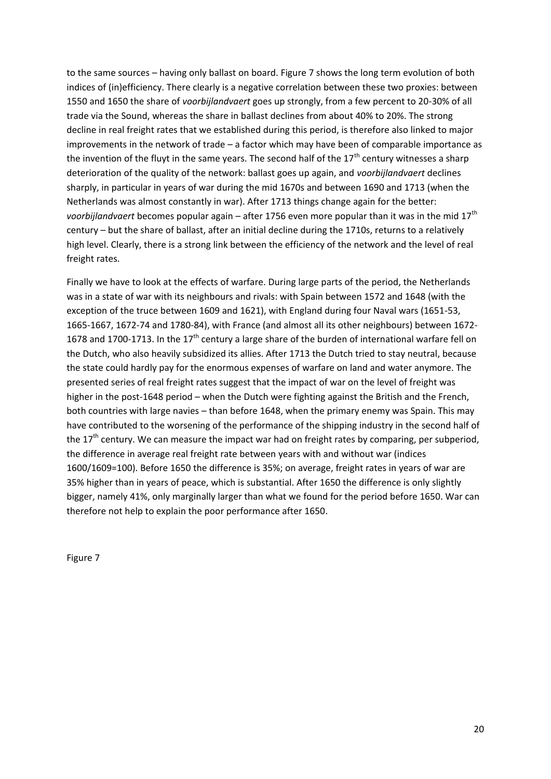to the same sources – having only ballast on board. Figure 7 shows the long term evolution of both indices of (in)efficiency. There clearly is a negative correlation between these two proxies: between 1550 and 1650 the share of *voorbijlandvaert* goes up strongly, from a few percent to 20-30% of all trade via the Sound, whereas the share in ballast declines from about 40% to 20%. The strong decline in real freight rates that we established during this period, is therefore also linked to major improvements in the network of trade – a factor which may have been of comparable importance as the invention of the fluyt in the same years. The second half of the  $17<sup>th</sup>$  century witnesses a sharp deterioration of the quality of the network: ballast goes up again, and *voorbijlandvaert* declines sharply, in particular in years of war during the mid 1670s and between 1690 and 1713 (when the Netherlands was almost constantly in war). After 1713 things change again for the better: *voorbijlandvaert* becomes popular again – after 1756 even more popular than it was in the mid 17<sup>th</sup> century – but the share of ballast, after an initial decline during the 1710s, returns to a relatively high level. Clearly, there is a strong link between the efficiency of the network and the level of real freight rates.

Finally we have to look at the effects of warfare. During large parts of the period, the Netherlands was in a state of war with its neighbours and rivals: with Spain between 1572 and 1648 (with the exception of the truce between 1609 and 1621), with England during four Naval wars (1651-53, 1665-1667, 1672-74 and 1780-84), with France (and almost all its other neighbours) between 1672- 1678 and 1700-1713. In the  $17<sup>th</sup>$  century a large share of the burden of international warfare fell on the Dutch, who also heavily subsidized its allies. After 1713 the Dutch tried to stay neutral, because the state could hardly pay for the enormous expenses of warfare on land and water anymore. The presented series of real freight rates suggest that the impact of war on the level of freight was higher in the post-1648 period – when the Dutch were fighting against the British and the French, both countries with large navies – than before 1648, when the primary enemy was Spain. This may have contributed to the worsening of the performance of the shipping industry in the second half of the  $17<sup>th</sup>$  century. We can measure the impact war had on freight rates by comparing, per subperiod, the difference in average real freight rate between years with and without war (indices 1600/1609=100). Before 1650 the difference is 35%; on average, freight rates in years of war are 35% higher than in years of peace, which is substantial. After 1650 the difference is only slightly bigger, namely 41%, only marginally larger than what we found for the period before 1650. War can therefore not help to explain the poor performance after 1650.

Figure 7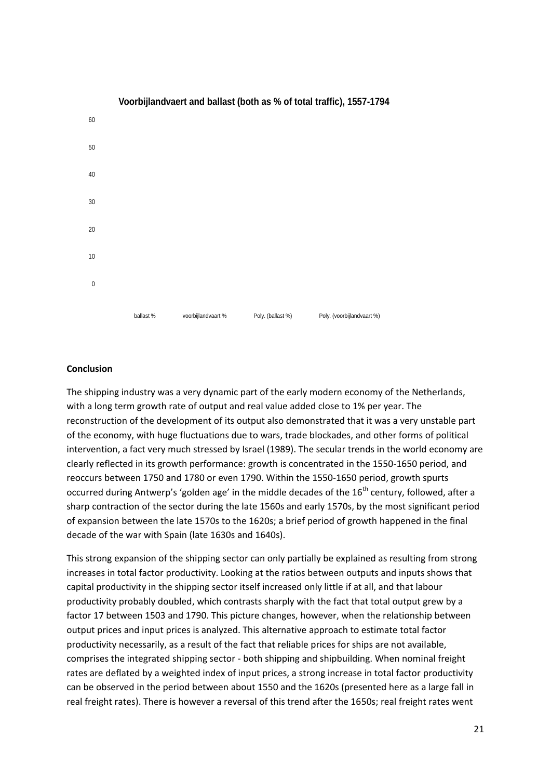

## **Voorbijlandvaert and ballast (both as % of total traffic), 1557-1794**

#### **Conclusion**

The shipping industry was a very dynamic part of the early modern economy of the Netherlands, with a long term growth rate of output and real value added close to 1% per year. The reconstruction of the development of its output also demonstrated that it was a very unstable part of the economy, with huge fluctuations due to wars, trade blockades, and other forms of political intervention, a fact very much stressed by Israel (1989). The secular trends in the world economy are clearly reflected in its growth performance: growth is concentrated in the 1550-1650 period, and reoccurs between 1750 and 1780 or even 1790. Within the 1550-1650 period, growth spurts occurred during Antwerp's 'golden age' in the middle decades of the 16<sup>th</sup> century, followed, after a sharp contraction of the sector during the late 1560s and early 1570s, by the most significant period of expansion between the late 1570s to the 1620s; a brief period of growth happened in the final decade of the war with Spain (late 1630s and 1640s).

This strong expansion of the shipping sector can only partially be explained as resulting from strong increases in total factor productivity. Looking at the ratios between outputs and inputs shows that capital productivity in the shipping sector itself increased only little if at all, and that labour productivity probably doubled, which contrasts sharply with the fact that total output grew by a factor 17 between 1503 and 1790. This picture changes, however, when the relationship between output prices and input prices is analyzed. This alternative approach to estimate total factor productivity necessarily, as a result of the fact that reliable prices for ships are not available, comprises the integrated shipping sector - both shipping and shipbuilding. When nominal freight rates are deflated by a weighted index of input prices, a strong increase in total factor productivity can be observed in the period between about 1550 and the 1620s (presented here as a large fall in real freight rates). There is however a reversal of this trend after the 1650s; real freight rates went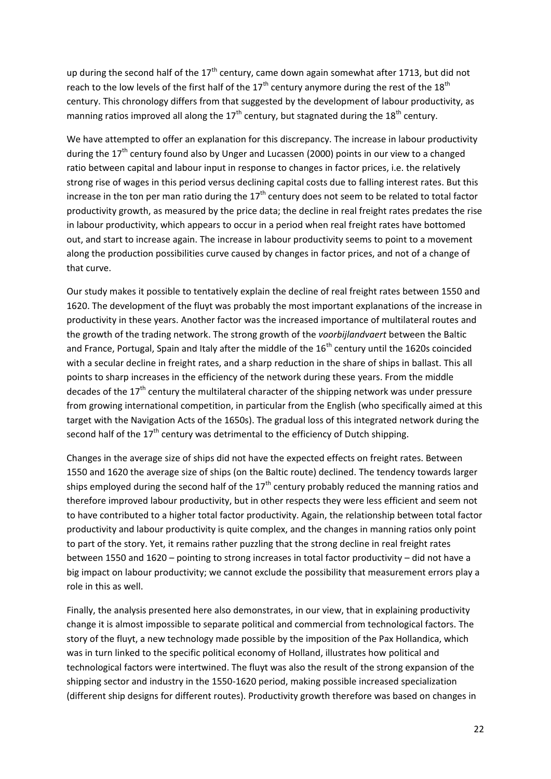up during the second half of the  $17<sup>th</sup>$  century, came down again somewhat after 1713, but did not reach to the low levels of the first half of the  $17<sup>th</sup>$  century anymore during the rest of the  $18<sup>th</sup>$ century. This chronology differs from that suggested by the development of labour productivity, as manning ratios improved all along the  $17<sup>th</sup>$  century, but stagnated during the  $18<sup>th</sup>$  century.

We have attempted to offer an explanation for this discrepancy. The increase in labour productivity during the  $17<sup>th</sup>$  century found also by Unger and Lucassen (2000) points in our view to a changed ratio between capital and labour input in response to changes in factor prices, i.e. the relatively strong rise of wages in this period versus declining capital costs due to falling interest rates. But this increase in the ton per man ratio during the  $17<sup>th</sup>$  century does not seem to be related to total factor productivity growth, as measured by the price data; the decline in real freight rates predates the rise in labour productivity, which appears to occur in a period when real freight rates have bottomed out, and start to increase again. The increase in labour productivity seems to point to a movement along the production possibilities curve caused by changes in factor prices, and not of a change of that curve.

Our study makes it possible to tentatively explain the decline of real freight rates between 1550 and 1620. The development of the fluyt was probably the most important explanations of the increase in productivity in these years. Another factor was the increased importance of multilateral routes and the growth of the trading network. The strong growth of the *voorbijlandvaert* between the Baltic and France, Portugal, Spain and Italy after the middle of the 16<sup>th</sup> century until the 1620s coincided with a secular decline in freight rates, and a sharp reduction in the share of ships in ballast. This all points to sharp increases in the efficiency of the network during these years. From the middle decades of the  $17<sup>th</sup>$  century the multilateral character of the shipping network was under pressure from growing international competition, in particular from the English (who specifically aimed at this target with the Navigation Acts of the 1650s). The gradual loss of this integrated network during the second half of the  $17<sup>th</sup>$  century was detrimental to the efficiency of Dutch shipping.

Changes in the average size of ships did not have the expected effects on freight rates. Between 1550 and 1620 the average size of ships (on the Baltic route) declined. The tendency towards larger ships employed during the second half of the  $17<sup>th</sup>$  century probably reduced the manning ratios and therefore improved labour productivity, but in other respects they were less efficient and seem not to have contributed to a higher total factor productivity. Again, the relationship between total factor productivity and labour productivity is quite complex, and the changes in manning ratios only point to part of the story. Yet, it remains rather puzzling that the strong decline in real freight rates between 1550 and 1620 – pointing to strong increases in total factor productivity – did not have a big impact on labour productivity; we cannot exclude the possibility that measurement errors play a role in this as well.

Finally, the analysis presented here also demonstrates, in our view, that in explaining productivity change it is almost impossible to separate political and commercial from technological factors. The story of the fluyt, a new technology made possible by the imposition of the Pax Hollandica, which was in turn linked to the specific political economy of Holland, illustrates how political and technological factors were intertwined. The fluyt was also the result of the strong expansion of the shipping sector and industry in the 1550-1620 period, making possible increased specialization (different ship designs for different routes). Productivity growth therefore was based on changes in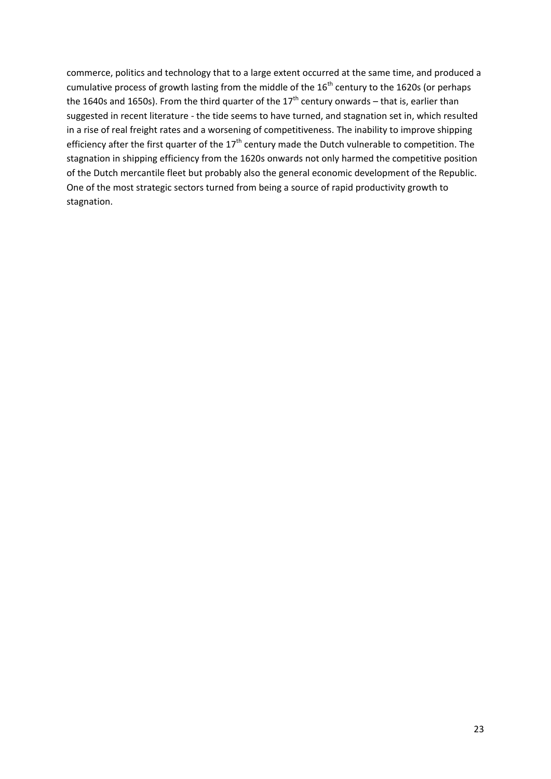commerce, politics and technology that to a large extent occurred at the same time, and produced a cumulative process of growth lasting from the middle of the  $16<sup>th</sup>$  century to the 1620s (or perhaps the 1640s and 1650s). From the third quarter of the  $17<sup>th</sup>$  century onwards – that is, earlier than suggested in recent literature - the tide seems to have turned, and stagnation set in, which resulted in a rise of real freight rates and a worsening of competitiveness. The inability to improve shipping efficiency after the first quarter of the  $17<sup>th</sup>$  century made the Dutch vulnerable to competition. The stagnation in shipping efficiency from the 1620s onwards not only harmed the competitive position of the Dutch mercantile fleet but probably also the general economic development of the Republic. One of the most strategic sectors turned from being a source of rapid productivity growth to stagnation.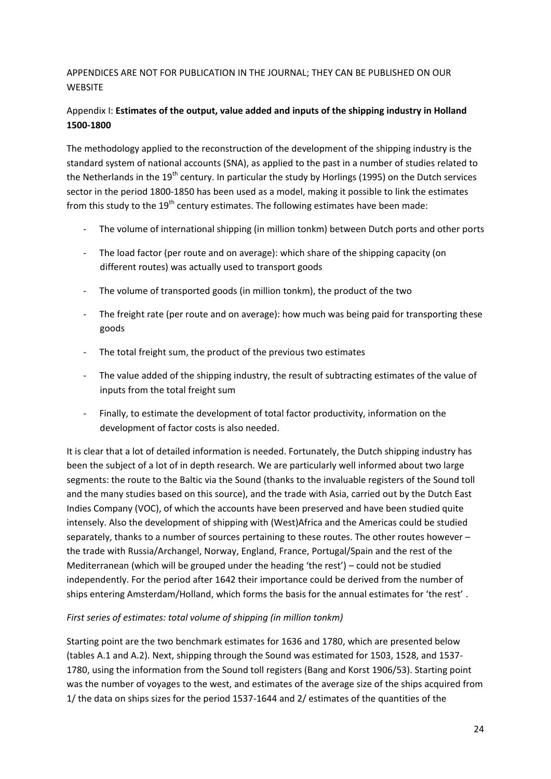## APPENDICES ARE NOT FOR PUBLICATION IN THE JOURNAL; THEY CAN BE PUBLISHED ON OUR WEBSITE

## Appendix I: **Estimates of the output, value added and inputs of the shipping industry in Holland 1500-1800**

The methodology applied to the reconstruction of the development of the shipping industry is the standard system of national accounts (SNA), as applied to the past in a number of studies related to the Netherlands in the 19<sup>th</sup> century. In particular the study by Horlings (1995) on the Dutch services sector in the period 1800-1850 has been used as a model, making it possible to link the estimates from this study to the  $19<sup>th</sup>$  century estimates. The following estimates have been made:

- The volume of international shipping (in million tonkm) between Dutch ports and other ports
- The load factor (per route and on average): which share of the shipping capacity (on different routes) was actually used to transport goods
- The volume of transported goods (in million tonkm), the product of the two
- The freight rate (per route and on average): how much was being paid for transporting these goods
- The total freight sum, the product of the previous two estimates
- The value added of the shipping industry, the result of subtracting estimates of the value of inputs from the total freight sum
- Finally, to estimate the development of total factor productivity, information on the development of factor costs is also needed.

It is clear that a lot of detailed information is needed. Fortunately, the Dutch shipping industry has been the subject of a lot of in depth research. We are particularly well informed about two large segments: the route to the Baltic via the Sound (thanks to the invaluable registers of the Sound toll and the many studies based on this source), and the trade with Asia, carried out by the Dutch East Indies Company (VOC), of which the accounts have been preserved and have been studied quite intensely. Also the development of shipping with (West)Africa and the Americas could be studied separately, thanks to a number of sources pertaining to these routes. The other routes however – the trade with Russia/Archangel, Norway, England, France, Portugal/Spain and the rest of the Mediterranean (which will be grouped under the heading 'the rest') – could not be studied independently. For the period after 1642 their importance could be derived from the number of ships entering Amsterdam/Holland, which forms the basis for the annual estimates for 'the rest' .

## *First series of estimates: total volume of shipping (in million tonkm)*

Starting point are the two benchmark estimates for 1636 and 1780, which are presented below (tables A.1 and A.2). Next, shipping through the Sound was estimated for 1503, 1528, and 1537- 1780, using the information from the Sound toll registers (Bang and Korst 1906/53). Starting point was the number of voyages to the west, and estimates of the average size of the ships acquired from 1/ the data on ships sizes for the period 1537-1644 and 2/ estimates of the quantities of the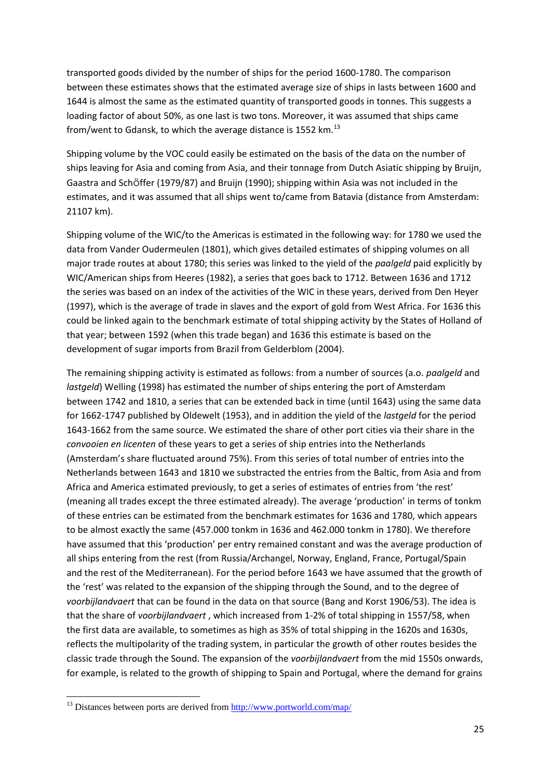transported goods divided by the number of ships for the period 1600-1780. The comparison between these estimates shows that the estimated average size of ships in lasts between 1600 and 1644 is almost the same as the estimated quantity of transported goods in tonnes. This suggests a loading factor of about 50%, as one last is two tons. Moreover, it was assumed that ships came from/went to Gdansk, to which the average distance is 1552 km. $^{13}$ 

Shipping volume by the VOC could easily be estimated on the basis of the data on the number of ships leaving for Asia and coming from Asia, and their tonnage from Dutch Asiatic shipping by Bruijn, Gaastra and Schöffer (1979/87) and Bruijn (1990); shipping within Asia was not included in the estimates, and it was assumed that all ships went to/came from Batavia (distance from Amsterdam: 21107 km).

Shipping volume of the WIC/to the Americas is estimated in the following way: for 1780 we used the data from Vander Oudermeulen (1801), which gives detailed estimates of shipping volumes on all major trade routes at about 1780; this series was linked to the yield of the *paalgeld* paid explicitly by WIC/American ships from Heeres (1982), a series that goes back to 1712. Between 1636 and 1712 the series was based on an index of the activities of the WIC in these years, derived from Den Heyer (1997), which is the average of trade in slaves and the export of gold from West Africa. For 1636 this could be linked again to the benchmark estimate of total shipping activity by the States of Holland of that year; between 1592 (when this trade began) and 1636 this estimate is based on the development of sugar imports from Brazil from Gelderblom (2004).

The remaining shipping activity is estimated as follows: from a number of sources (a.o. *paalgeld* and *lastgeld*) Welling (1998) has estimated the number of ships entering the port of Amsterdam between 1742 and 1810, a series that can be extended back in time (until 1643) using the same data for 1662-1747 published by Oldewelt (1953), and in addition the yield of the *lastgeld* for the period 1643-1662 from the same source. We estimated the share of other port cities via their share in the *convooien en licenten* of these years to get a series of ship entries into the Netherlands (Amsterdam's share fluctuated around 75%). From this series of total number of entries into the Netherlands between 1643 and 1810 we substracted the entries from the Baltic, from Asia and from Africa and America estimated previously, to get a series of estimates of entries from 'the rest' (meaning all trades except the three estimated already). The average 'production' in terms of tonkm of these entries can be estimated from the benchmark estimates for 1636 and 1780, which appears to be almost exactly the same (457.000 tonkm in 1636 and 462.000 tonkm in 1780). We therefore have assumed that this 'production' per entry remained constant and was the average production of all ships entering from the rest (from Russia/Archangel, Norway, England, France, Portugal/Spain and the rest of the Mediterranean). For the period before 1643 we have assumed that the growth of the 'rest' was related to the expansion of the shipping through the Sound, and to the degree of *voorbijlandvaert* that can be found in the data on that source (Bang and Korst 1906/53). The idea is that the share of *voorbijlandvaert* , which increased from 1-2% of total shipping in 1557/58, when the first data are available, to sometimes as high as 35% of total shipping in the 1620s and 1630s, reflects the multipolarity of the trading system, in particular the growth of other routes besides the classic trade through the Sound. The expansion of the *voorbijlandvaert* from the mid 1550s onwards, for example, is related to the growth of shipping to Spain and Portugal, where the demand for grains

**.** 

<sup>&</sup>lt;sup>13</sup> Distances between ports are derived from<http://www.portworld.com/map/>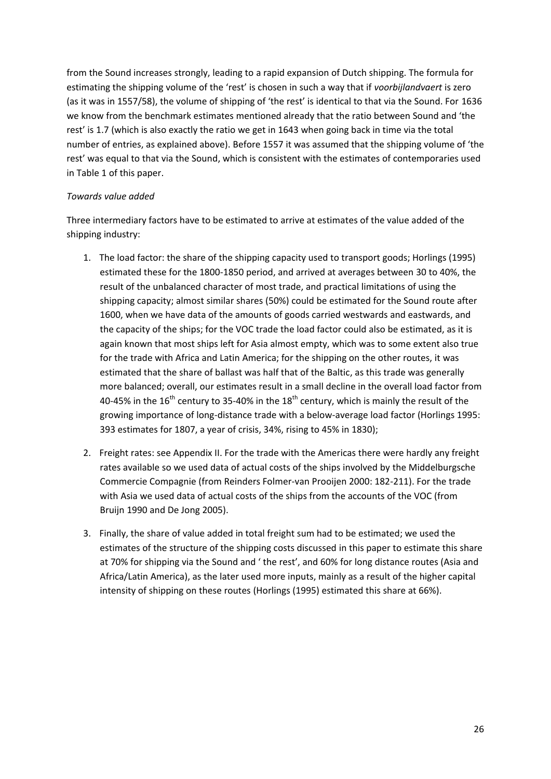from the Sound increases strongly, leading to a rapid expansion of Dutch shipping. The formula for estimating the shipping volume of the 'rest' is chosen in such a way that if *voorbijlandvaert* is zero (as it was in 1557/58), the volume of shipping of 'the rest' is identical to that via the Sound. For 1636 we know from the benchmark estimates mentioned already that the ratio between Sound and 'the rest' is 1.7 (which is also exactly the ratio we get in 1643 when going back in time via the total number of entries, as explained above). Before 1557 it was assumed that the shipping volume of 'the rest' was equal to that via the Sound, which is consistent with the estimates of contemporaries used in Table 1 of this paper.

## *Towards value added*

Three intermediary factors have to be estimated to arrive at estimates of the value added of the shipping industry:

- 1. The load factor: the share of the shipping capacity used to transport goods; Horlings (1995) estimated these for the 1800-1850 period, and arrived at averages between 30 to 40%, the result of the unbalanced character of most trade, and practical limitations of using the shipping capacity; almost similar shares (50%) could be estimated for the Sound route after 1600, when we have data of the amounts of goods carried westwards and eastwards, and the capacity of the ships; for the VOC trade the load factor could also be estimated, as it is again known that most ships left for Asia almost empty, which was to some extent also true for the trade with Africa and Latin America; for the shipping on the other routes, it was estimated that the share of ballast was half that of the Baltic, as this trade was generally more balanced; overall, our estimates result in a small decline in the overall load factor from 40-45% in the  $16<sup>th</sup>$  century to 35-40% in the  $18<sup>th</sup>$  century, which is mainly the result of the growing importance of long-distance trade with a below-average load factor (Horlings 1995: 393 estimates for 1807, a year of crisis, 34%, rising to 45% in 1830);
- 2. Freight rates: see Appendix II. For the trade with the Americas there were hardly any freight rates available so we used data of actual costs of the ships involved by the Middelburgsche Commercie Compagnie (from Reinders Folmer-van Prooijen 2000: 182-211). For the trade with Asia we used data of actual costs of the ships from the accounts of the VOC (from Bruijn 1990 and De Jong 2005).
- 3. Finally, the share of value added in total freight sum had to be estimated; we used the estimates of the structure of the shipping costs discussed in this paper to estimate this share at 70% for shipping via the Sound and ' the rest', and 60% for long distance routes (Asia and Africa/Latin America), as the later used more inputs, mainly as a result of the higher capital intensity of shipping on these routes (Horlings (1995) estimated this share at 66%).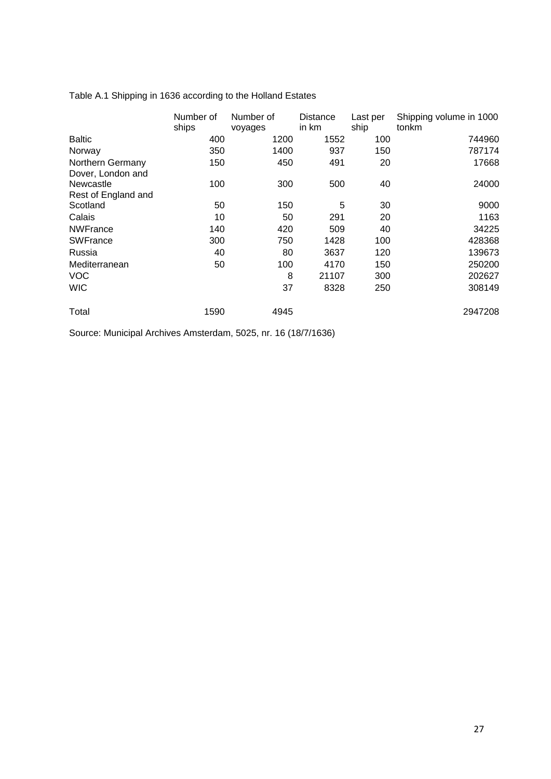|  | Table A.1 Shipping in 1636 according to the Holland Estates |  |
|--|-------------------------------------------------------------|--|
|  |                                                             |  |

|                                       | Number of<br>Number of<br>ships<br>voyages |      | <b>Distance</b><br>in km | Last per<br>ship | Shipping volume in 1000<br>tonkm |  |
|---------------------------------------|--------------------------------------------|------|--------------------------|------------------|----------------------------------|--|
| <b>Baltic</b>                         | 400                                        | 1200 | 1552                     | 100              | 744960                           |  |
| Norway                                | 350                                        | 1400 | 937                      | 150              | 787174                           |  |
| Northern Germany<br>Dover, London and | 150                                        | 450  | 491                      | 20               | 17668                            |  |
| Newcastle                             | 100                                        | 300  | 500                      | 40               | 24000                            |  |
| Rest of England and                   |                                            |      |                          |                  |                                  |  |
| Scotland                              | 50                                         | 150  | 5                        | 30               | 9000                             |  |
| Calais                                | 10                                         | 50   | 291                      | 20               | 1163                             |  |
| <b>NWFrance</b>                       | 140                                        | 420  | 509                      | 40               | 34225                            |  |
| <b>SWFrance</b>                       | 300                                        | 750  | 1428                     | 100              | 428368                           |  |
| Russia                                | 40                                         | 80   | 3637                     | 120              | 139673                           |  |
| Mediterranean                         | 50                                         | 100  | 4170                     | 150              | 250200                           |  |
| <b>VOC</b>                            |                                            | 8    | 21107                    | 300              | 202627                           |  |
| <b>WIC</b>                            |                                            | 37   | 8328                     | 250              | 308149                           |  |
| Total                                 | 1590                                       | 4945 |                          |                  | 2947208                          |  |

Source: Municipal Archives Amsterdam, 5025, nr. 16 (18/7/1636)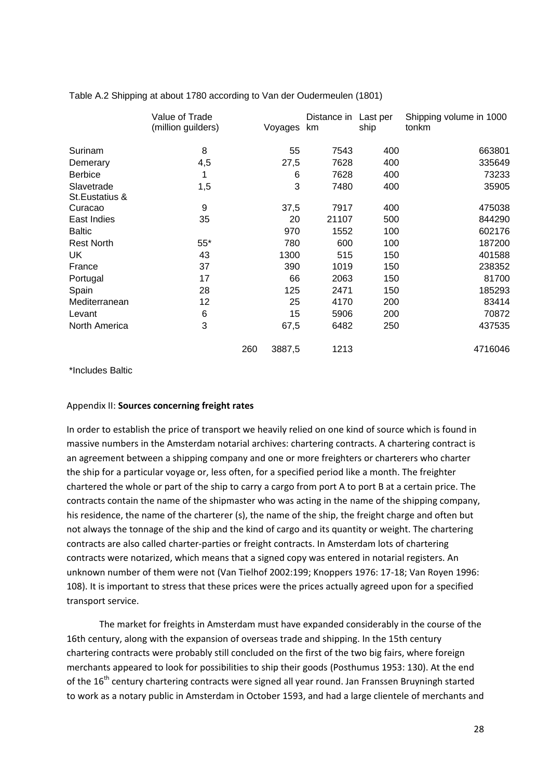|                               | Value of Trade<br>(million guilders) |     | Voyages | Distance in Last per<br>km | ship | Shipping volume in 1000<br>tonkm |
|-------------------------------|--------------------------------------|-----|---------|----------------------------|------|----------------------------------|
| Surinam                       | 8                                    |     | 55      | 7543                       | 400  | 663801                           |
| Demerary                      | 4,5                                  |     | 27,5    | 7628                       | 400  | 335649                           |
| <b>Berbice</b>                | 1                                    |     | 6       | 7628                       | 400  | 73233                            |
| Slavetrade<br>St. Eustatius & | 1,5                                  |     | 3       | 7480                       | 400  | 35905                            |
| Curacao                       | 9                                    |     | 37,5    | 7917                       | 400  | 475038                           |
| East Indies                   | 35                                   |     | 20      | 21107                      | 500  | 844290                           |
| <b>Baltic</b>                 |                                      |     | 970     | 1552                       | 100  | 602176                           |
| <b>Rest North</b>             | $55*$                                |     | 780     | 600                        | 100  | 187200                           |
| UK                            | 43                                   |     | 1300    | 515                        | 150  | 401588                           |
| France                        | 37                                   |     | 390     | 1019                       | 150  | 238352                           |
| Portugal                      | 17                                   |     | 66      | 2063                       | 150  | 81700                            |
| Spain                         | 28                                   |     | 125     | 2471                       | 150  | 185293                           |
| Mediterranean                 | 12                                   |     | 25      | 4170                       | 200  | 83414                            |
| Levant                        | 6                                    |     | 15      | 5906                       | 200  | 70872                            |
| North America                 | 3                                    |     | 67,5    | 6482                       | 250  | 437535                           |
|                               |                                      | 260 | 3887,5  | 1213                       |      | 4716046                          |

#### Table A.2 Shipping at about 1780 according to Van der Oudermeulen (1801)

\*Includes Baltic

#### Appendix II: **Sources concerning freight rates**

In order to establish the price of transport we heavily relied on one kind of source which is found in massive numbers in the Amsterdam notarial archives: chartering contracts. A chartering contract is an agreement between a shipping company and one or more freighters or charterers who charter the ship for a particular voyage or, less often, for a specified period like a month. The freighter chartered the whole or part of the ship to carry a cargo from port A to port B at a certain price. The contracts contain the name of the shipmaster who was acting in the name of the shipping company, his residence, the name of the charterer (s), the name of the ship, the freight charge and often but not always the tonnage of the ship and the kind of cargo and its quantity or weight. The chartering contracts are also called charter-parties or freight contracts. In Amsterdam lots of chartering contracts were notarized, which means that a signed copy was entered in notarial registers. An unknown number of them were not (Van Tielhof 2002:199; Knoppers 1976: 17-18; Van Royen 1996: 108). It is important to stress that these prices were the prices actually agreed upon for a specified transport service.

The market for freights in Amsterdam must have expanded considerably in the course of the 16th century, along with the expansion of overseas trade and shipping. In the 15th century chartering contracts were probably still concluded on the first of the two big fairs, where foreign merchants appeared to look for possibilities to ship their goods (Posthumus 1953: 130). At the end of the 16<sup>th</sup> century chartering contracts were signed all year round. Jan Franssen Bruyningh started to work as a notary public in Amsterdam in October 1593, and had a large clientele of merchants and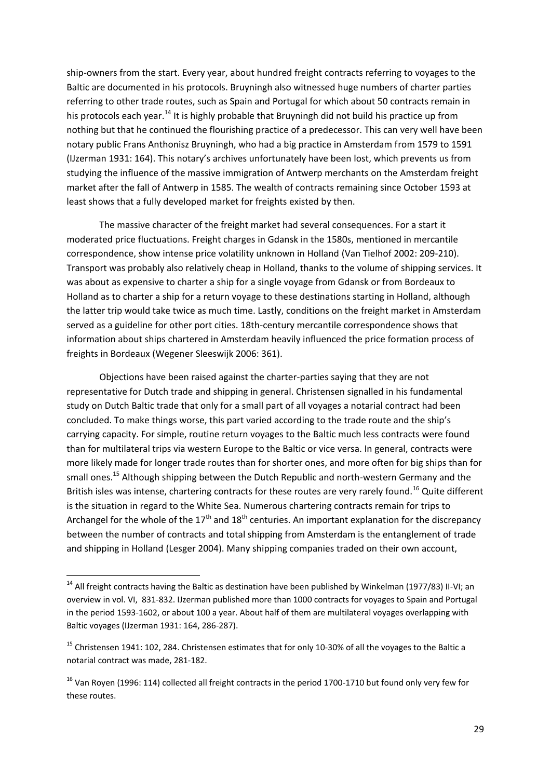ship-owners from the start. Every year, about hundred freight contracts referring to voyages to the Baltic are documented in his protocols. Bruyningh also witnessed huge numbers of charter parties referring to other trade routes, such as Spain and Portugal for which about 50 contracts remain in his protocols each year.<sup>14</sup> It is highly probable that Bruyningh did not build his practice up from nothing but that he continued the flourishing practice of a predecessor. This can very well have been notary public Frans Anthonisz Bruyningh, who had a big practice in Amsterdam from 1579 to 1591 (IJzerman 1931: 164). This notary's archives unfortunately have been lost, which prevents us from studying the influence of the massive immigration of Antwerp merchants on the Amsterdam freight market after the fall of Antwerp in 1585. The wealth of contracts remaining since October 1593 at least shows that a fully developed market for freights existed by then.

The massive character of the freight market had several consequences. For a start it moderated price fluctuations. Freight charges in Gdansk in the 1580s, mentioned in mercantile correspondence, show intense price volatility unknown in Holland (Van Tielhof 2002: 209-210). Transport was probably also relatively cheap in Holland, thanks to the volume of shipping services. It was about as expensive to charter a ship for a single voyage from Gdansk or from Bordeaux to Holland as to charter a ship for a return voyage to these destinations starting in Holland, although the latter trip would take twice as much time. Lastly, conditions on the freight market in Amsterdam served as a guideline for other port cities. 18th-century mercantile correspondence shows that information about ships chartered in Amsterdam heavily influenced the price formation process of freights in Bordeaux (Wegener Sleeswijk 2006: 361).

Objections have been raised against the charter-parties saying that they are not representative for Dutch trade and shipping in general. Christensen signalled in his fundamental study on Dutch Baltic trade that only for a small part of all voyages a notarial contract had been concluded. To make things worse, this part varied according to the trade route and the ship's carrying capacity. For simple, routine return voyages to the Baltic much less contracts were found than for multilateral trips via western Europe to the Baltic or vice versa. In general, contracts were more likely made for longer trade routes than for shorter ones, and more often for big ships than for small ones. <sup>15</sup> Although shipping between the Dutch Republic and north-western Germany and the British isles was intense, chartering contracts for these routes are very rarely found.<sup>16</sup> Quite different is the situation in regard to the White Sea. Numerous chartering contracts remain for trips to Archangel for the whole of the  $17<sup>th</sup>$  and  $18<sup>th</sup>$  centuries. An important explanation for the discrepancy between the number of contracts and total shipping from Amsterdam is the entanglement of trade and shipping in Holland (Lesger 2004). Many shipping companies traded on their own account,

**.** 

<sup>&</sup>lt;sup>14</sup> All freight contracts having the Baltic as destination have been published by Winkelman (1977/83) II-VI; an overview in vol. VI, 831-832. IJzerman published more than 1000 contracts for voyages to Spain and Portugal in the period 1593-1602, or about 100 a year. About half of them are multilateral voyages overlapping with Baltic voyages (IJzerman 1931: 164, 286-287).

<sup>&</sup>lt;sup>15</sup> Christensen 1941: 102, 284. Christensen estimates that for only 10-30% of all the voyages to the Baltic a notarial contract was made, 281-182.

 $16$  Van Royen (1996: 114) collected all freight contracts in the period 1700-1710 but found only very few for these routes.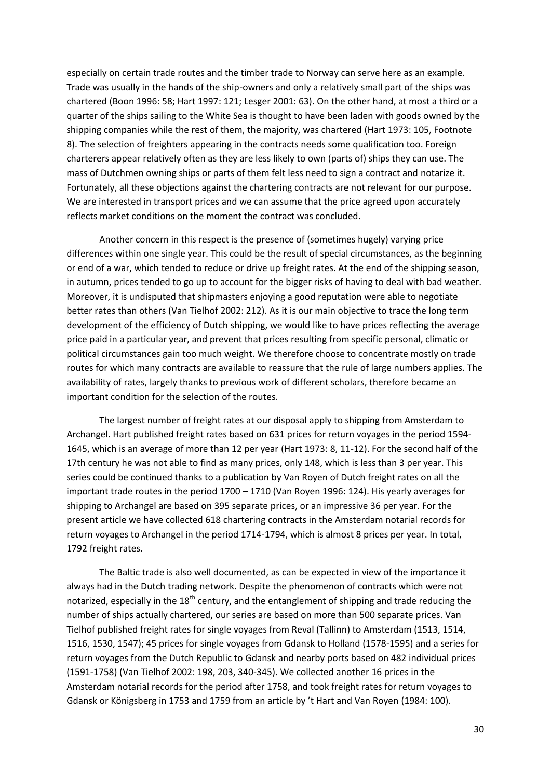especially on certain trade routes and the timber trade to Norway can serve here as an example. Trade was usually in the hands of the ship-owners and only a relatively small part of the ships was chartered (Boon 1996: 58; Hart 1997: 121; Lesger 2001: 63). On the other hand, at most a third or a quarter of the ships sailing to the White Sea is thought to have been laden with goods owned by the shipping companies while the rest of them, the majority, was chartered (Hart 1973: 105, Footnote 8). The selection of freighters appearing in the contracts needs some qualification too. Foreign charterers appear relatively often as they are less likely to own (parts of) ships they can use. The mass of Dutchmen owning ships or parts of them felt less need to sign a contract and notarize it. Fortunately, all these objections against the chartering contracts are not relevant for our purpose. We are interested in transport prices and we can assume that the price agreed upon accurately reflects market conditions on the moment the contract was concluded.

Another concern in this respect is the presence of (sometimes hugely) varying price differences within one single year. This could be the result of special circumstances, as the beginning or end of a war, which tended to reduce or drive up freight rates. At the end of the shipping season, in autumn, prices tended to go up to account for the bigger risks of having to deal with bad weather. Moreover, it is undisputed that shipmasters enjoying a good reputation were able to negotiate better rates than others (Van Tielhof 2002: 212). As it is our main objective to trace the long term development of the efficiency of Dutch shipping, we would like to have prices reflecting the average price paid in a particular year, and prevent that prices resulting from specific personal, climatic or political circumstances gain too much weight. We therefore choose to concentrate mostly on trade routes for which many contracts are available to reassure that the rule of large numbers applies. The availability of rates, largely thanks to previous work of different scholars, therefore became an important condition for the selection of the routes.

The largest number of freight rates at our disposal apply to shipping from Amsterdam to Archangel. Hart published freight rates based on 631 prices for return voyages in the period 1594- 1645, which is an average of more than 12 per year (Hart 1973: 8, 11-12). For the second half of the 17th century he was not able to find as many prices, only 148, which is less than 3 per year. This series could be continued thanks to a publication by Van Royen of Dutch freight rates on all the important trade routes in the period 1700 – 1710 (Van Royen 1996: 124). His yearly averages for shipping to Archangel are based on 395 separate prices, or an impressive 36 per year. For the present article we have collected 618 chartering contracts in the Amsterdam notarial records for return voyages to Archangel in the period 1714-1794, which is almost 8 prices per year. In total, 1792 freight rates.

The Baltic trade is also well documented, as can be expected in view of the importance it always had in the Dutch trading network. Despite the phenomenon of contracts which were not notarized, especially in the  $18<sup>th</sup>$  century, and the entanglement of shipping and trade reducing the number of ships actually chartered, our series are based on more than 500 separate prices. Van Tielhof published freight rates for single voyages from Reval (Tallinn) to Amsterdam (1513, 1514, 1516, 1530, 1547); 45 prices for single voyages from Gdansk to Holland (1578-1595) and a series for return voyages from the Dutch Republic to Gdansk and nearby ports based on 482 individual prices (1591-1758) (Van Tielhof 2002: 198, 203, 340-345). We collected another 16 prices in the Amsterdam notarial records for the period after 1758, and took freight rates for return voyages to Gdansk or Königsberg in 1753 and 1759 from an article by 't Hart and Van Royen (1984: 100).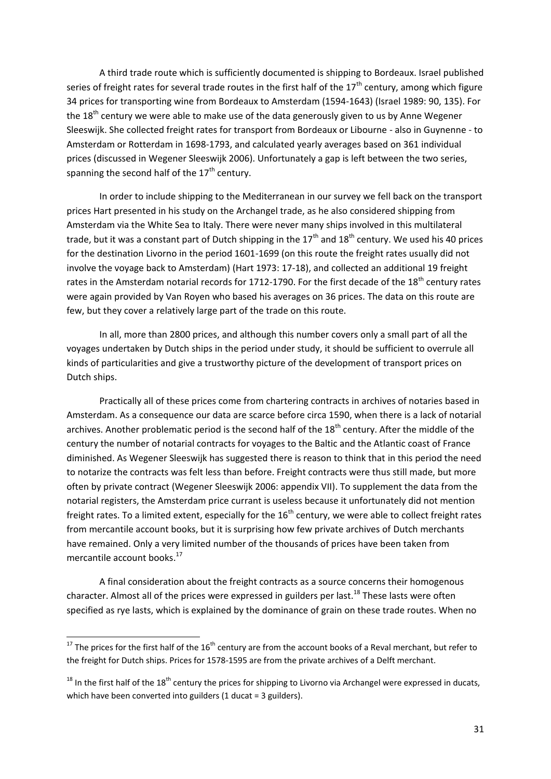A third trade route which is sufficiently documented is shipping to Bordeaux. Israel published series of freight rates for several trade routes in the first half of the  $17<sup>th</sup>$  century, among which figure 34 prices for transporting wine from Bordeaux to Amsterdam (1594-1643) (Israel 1989: 90, 135). For the  $18<sup>th</sup>$  century we were able to make use of the data generously given to us by Anne Wegener Sleeswijk. She collected freight rates for transport from Bordeaux or Libourne - also in Guynenne - to Amsterdam or Rotterdam in 1698-1793, and calculated yearly averages based on 361 individual prices (discussed in Wegener Sleeswijk 2006). Unfortunately a gap is left between the two series, spanning the second half of the  $17<sup>th</sup>$  century.

In order to include shipping to the Mediterranean in our survey we fell back on the transport prices Hart presented in his study on the Archangel trade, as he also considered shipping from Amsterdam via the White Sea to Italy. There were never many ships involved in this multilateral trade, but it was a constant part of Dutch shipping in the  $17<sup>th</sup>$  and  $18<sup>th</sup>$  century. We used his 40 prices for the destination Livorno in the period 1601-1699 (on this route the freight rates usually did not involve the voyage back to Amsterdam) (Hart 1973: 17-18), and collected an additional 19 freight rates in the Amsterdam notarial records for 1712-1790. For the first decade of the 18<sup>th</sup> century rates were again provided by Van Royen who based his averages on 36 prices. The data on this route are few, but they cover a relatively large part of the trade on this route.

In all, more than 2800 prices, and although this number covers only a small part of all the voyages undertaken by Dutch ships in the period under study, it should be sufficient to overrule all kinds of particularities and give a trustworthy picture of the development of transport prices on Dutch ships.

Practically all of these prices come from chartering contracts in archives of notaries based in Amsterdam. As a consequence our data are scarce before circa 1590, when there is a lack of notarial archives. Another problematic period is the second half of the 18<sup>th</sup> century. After the middle of the century the number of notarial contracts for voyages to the Baltic and the Atlantic coast of France diminished. As Wegener Sleeswijk has suggested there is reason to think that in this period the need to notarize the contracts was felt less than before. Freight contracts were thus still made, but more often by private contract (Wegener Sleeswijk 2006: appendix VII). To supplement the data from the notarial registers, the Amsterdam price currant is useless because it unfortunately did not mention freight rates. To a limited extent, especially for the  $16<sup>th</sup>$  century, we were able to collect freight rates from mercantile account books, but it is surprising how few private archives of Dutch merchants have remained. Only a very limited number of the thousands of prices have been taken from mercantile account books. 17

A final consideration about the freight contracts as a source concerns their homogenous character. Almost all of the prices were expressed in guilders per last.<sup>18</sup> These lasts were often specified as rye lasts, which is explained by the dominance of grain on these trade routes. When no

**.** 

<sup>&</sup>lt;sup>17</sup> The prices for the first half of the 16<sup>th</sup> century are from the account books of a Reval merchant, but refer to the freight for Dutch ships. Prices for 1578-1595 are from the private archives of a Delft merchant.

 $18$  In the first half of the 18<sup>th</sup> century the prices for shipping to Livorno via Archangel were expressed in ducats, which have been converted into guilders (1 ducat = 3 guilders).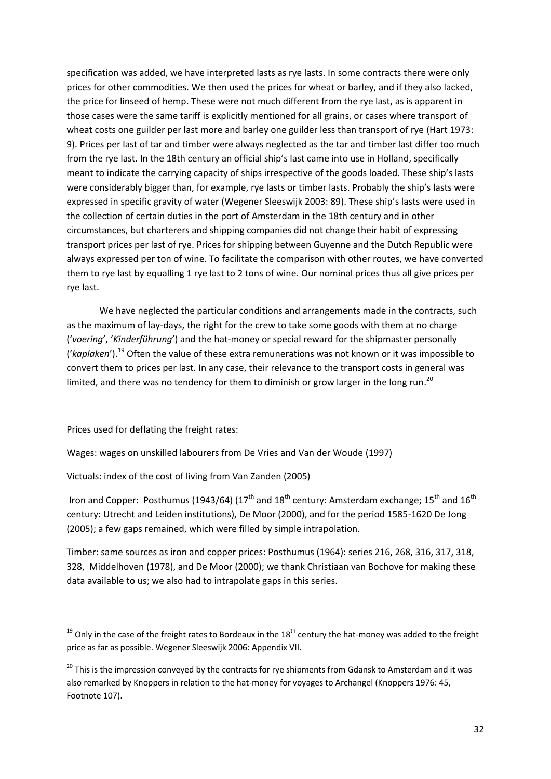specification was added, we have interpreted lasts as rye lasts. In some contracts there were only prices for other commodities. We then used the prices for wheat or barley, and if they also lacked, the price for linseed of hemp. These were not much different from the rye last, as is apparent in those cases were the same tariff is explicitly mentioned for all grains, or cases where transport of wheat costs one guilder per last more and barley one guilder less than transport of rye (Hart 1973: 9). Prices per last of tar and timber were always neglected as the tar and timber last differ too much from the rye last. In the 18th century an official ship's last came into use in Holland, specifically meant to indicate the carrying capacity of ships irrespective of the goods loaded. These ship's lasts were considerably bigger than, for example, rye lasts or timber lasts. Probably the ship's lasts were expressed in specific gravity of water (Wegener Sleeswijk 2003: 89). These ship's lasts were used in the collection of certain duties in the port of Amsterdam in the 18th century and in other circumstances, but charterers and shipping companies did not change their habit of expressing transport prices per last of rye. Prices for shipping between Guyenne and the Dutch Republic were always expressed per ton of wine. To facilitate the comparison with other routes, we have converted them to rye last by equalling 1 rye last to 2 tons of wine. Our nominal prices thus all give prices per rye last.

We have neglected the particular conditions and arrangements made in the contracts, such as the maximum of lay-days, the right for the crew to take some goods with them at no charge ('*voering*', '*Kinderführung*') and the hat-money or special reward for the shipmaster personally ('*kaplaken*'). <sup>19</sup> Often the value of these extra remunerations was not known or it was impossible to convert them to prices per last. In any case, their relevance to the transport costs in general was limited, and there was no tendency for them to diminish or grow larger in the long run.<sup>20</sup>

Prices used for deflating the freight rates:

**.** 

Wages: wages on unskilled labourers from De Vries and Van der Woude (1997)

Victuals: index of the cost of living from Van Zanden (2005)

Iron and Copper: Posthumus (1943/64) (17<sup>th</sup> and 18<sup>th</sup> century: Amsterdam exchange; 15<sup>th</sup> and 16<sup>th</sup> century: Utrecht and Leiden institutions), De Moor (2000), and for the period 1585-1620 De Jong (2005); a few gaps remained, which were filled by simple intrapolation.

Timber: same sources as iron and copper prices: Posthumus (1964): series 216, 268, 316, 317, 318, 328, Middelhoven (1978), and De Moor (2000); we thank Christiaan van Bochove for making these data available to us; we also had to intrapolate gaps in this series.

 $19$  Only in the case of the freight rates to Bordeaux in the 18<sup>th</sup> century the hat-money was added to the freight price as far as possible. Wegener Sleeswijk 2006: Appendix VII.

<sup>&</sup>lt;sup>20</sup> This is the impression conveyed by the contracts for rye shipments from Gdansk to Amsterdam and it was also remarked by Knoppers in relation to the hat-money for voyages to Archangel (Knoppers 1976: 45, Footnote 107).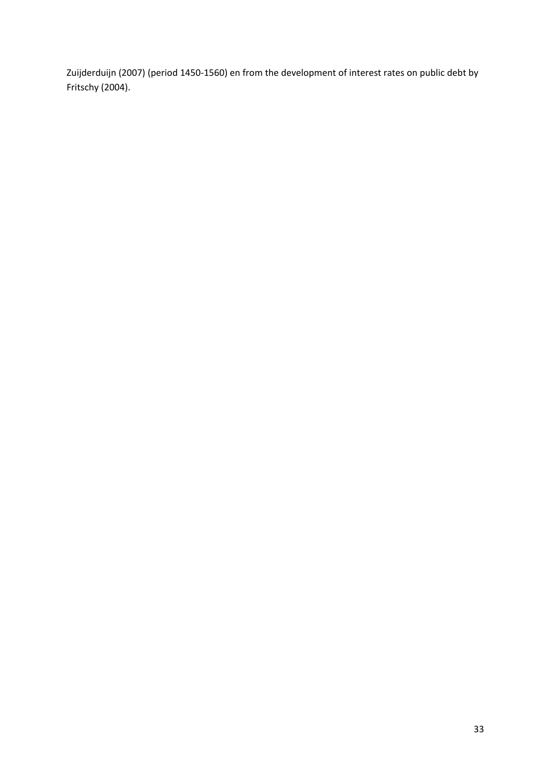Zuijderduijn (2007) (period 1450-1560) en from the development of interest rates on public debt by Fritschy (2004).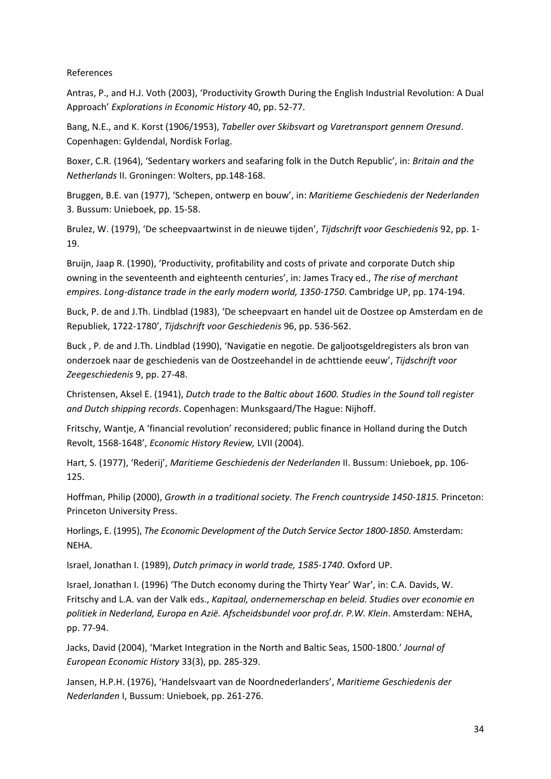References

Antras, P., and H.J. Voth (2003), 'Productivity Growth During the English Industrial Revolution: A Dual Approach' *Explorations in Economic History* 40, pp. 52-77.

Bang, N.E., and K. Korst (1906/1953), *Tabeller over Skibsvart og Varetransport gennem Oresund*. Copenhagen: Gyldendal, Nordisk Forlag.

Boxer, C.R. (1964), 'Sedentary workers and seafaring folk in the Dutch Republic', in: *Britain and the Netherlands* II. Groningen: Wolters, pp.148-168.

Bruggen, B.E. van (1977), 'Schepen, ontwerp en bouw', in: *Maritieme Geschiedenis der Nederlanden* 3. Bussum: Unieboek, pp. 15-58.

Brulez, W. (1979), 'De scheepvaartwinst in de nieuwe tijden', *Tijdschrift voor Geschiedenis* 92, pp. 1- 19.

Bruijn, Jaap R. (1990), 'Productivity, profitability and costs of private and corporate Dutch ship owning in the seventeenth and eighteenth centuries', in: James Tracy ed., *The rise of merchant empires. Long-distance trade in the early modern world, 1350-1750*. Cambridge UP, pp. 174-194.

Buck, P. de and J.Th. Lindblad (1983), 'De scheepvaart en handel uit de Oostzee op Amsterdam en de Republiek, 1722-1780', *Tijdschrift voor Geschiedenis* 96, pp. 536-562.

Buck , P. de and J.Th. Lindblad (1990), 'Navigatie en negotie. De galjootsgeldregisters als bron van onderzoek naar de geschiedenis van de Oostzeehandel in de achttiende eeuw', *Tijdschrift voor Zeegeschiedenis* 9, pp. 27-48.

Christensen, Aksel E. (1941), *Dutch trade to the Baltic about 1600. Studies in the Sound toll register and Dutch shipping records*. Copenhagen: Munksgaard/The Hague: Nijhoff.

Fritschy, Wantje, A 'financial revolution' reconsidered; public finance in Holland during the Dutch Revolt, 1568-1648', *E*c*onomic History Review,* LVII (2004).

Hart, S. (1977), 'Rederij', *Maritieme Geschiedenis der Nederlanden* II. Bussum: Unieboek, pp. 106- 125.

Hoffman, Philip (2000), *Growth in a traditional society. The French countryside 1450-1815.* Princeton: Princeton University Press.

Horlings, E. (1995), *The Economic Development of the Dutch Service Sector 1800-1850*. Amsterdam: NEHA.

Israel, Jonathan I. (1989), *Dutch primacy in world trade, 1585-1740*. Oxford UP.

Israel, Jonathan I. (1996) 'The Dutch economy during the Thirty Year' War', in: C.A. Davids, W. Fritschy and L.A. van der Valk eds., *Kapitaal, ondernemerschap en beleid. Studies over economie en politiek in Nederland, Europa en Azië. Afscheidsbundel voor prof.dr. P.W. Klein*. Amsterdam: NEHA, pp. 77-94.

Jacks, David (2004), 'Market Integration in the North and Baltic Seas, 1500-1800.' *Journal of European Economic History* 33(3), pp. 285-329.

Jansen, H.P.H. (1976), 'Handelsvaart van de Noordnederlanders', *Maritieme Geschiedenis der Nederlanden* I, Bussum: Unieboek, pp. 261-276.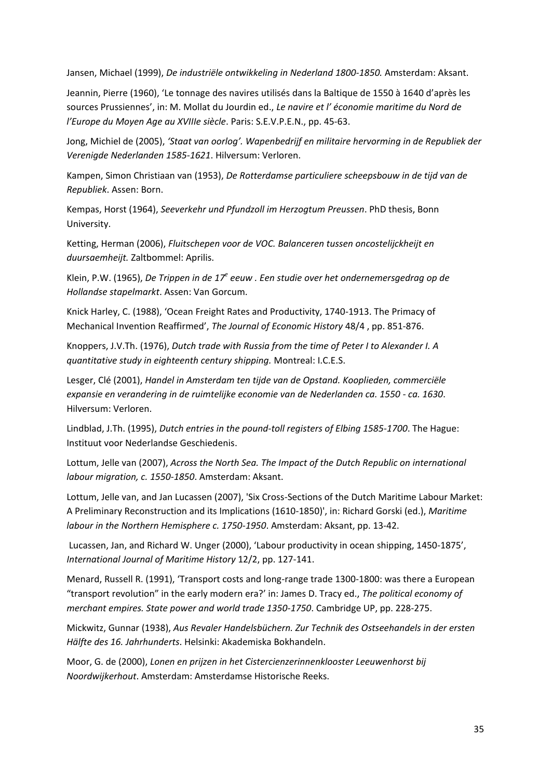Jansen, Michael (1999), *De industriële ontwikkeling in Nederland 1800-1850.* Amsterdam: Aksant.

Jeannin, Pierre (1960), 'Le tonnage des navires utilisés dans la Baltique de 1550 à 1640 d'après les sources Prussiennes', in: M. Mollat du Jourdin ed., *Le navire et l' économie maritime du Nord de l'Europe du Moyen Age au XVIIIe siècle*. Paris: S.E.V.P.E.N., pp. 45-63.

Jong, Michiel de (2005), *'Staat van oorlog'. Wapenbedrijf en militaire hervorming in de Republiek der Verenigde Nederlanden 1585-1621*. Hilversum: Verloren.

Kampen, Simon Christiaan van (1953), *De Rotterdamse particuliere scheepsbouw in de tijd van de Republiek*. Assen: Born.

Kempas, Horst (1964), *Seeverkehr und Pfundzoll im Herzogtum Preussen*. PhD thesis, Bonn University.

Ketting, Herman (2006), *Fluitschepen voor de VOC. Balanceren tussen oncostelijckheijt en duursaemheijt.* Zaltbommel: Aprilis.

Klein, P.W. (1965), De Trippen in de 17<sup>e</sup> eeuw . Een studie over het ondernemersgedrag op de *Hollandse stapelmarkt*. Assen: Van Gorcum.

Knick Harley, C. (1988), 'Ocean Freight Rates and Productivity, 1740-1913. The Primacy of Mechanical Invention Reaffirmed', *The Journal of Economic History* 48/4 , pp. 851-876.

Knoppers, J.V.Th. (1976), *Dutch trade with Russia from the time of Peter I to Alexander I. A quantitative study in eighteenth century shipping.* Montreal: I.C.E.S.

Lesger, Clé (2001), *Handel in Amsterdam ten tijde van de Opstand. Kooplieden, commerciële expansie en verandering in de ruimtelijke economie van de Nederlanden ca. 1550 - ca. 1630*. Hilversum: Verloren.

Lindblad, J.Th. (1995), *Dutch entries in the pound-toll registers of Elbing 1585-1700*. The Hague: Instituut voor Nederlandse Geschiedenis.

Lottum, Jelle van (2007), *Across the North Sea. The Impact of the Dutch Republic on international labour migration, c. 1550-1850*. Amsterdam: Aksant.

Lottum, Jelle van, and Jan Lucassen (2007), 'Six Cross-Sections of the Dutch Maritime Labour Market: A Preliminary Reconstruction and its Implications (1610-1850)', in: Richard Gorski (ed.), *Maritime labour in the Northern Hemisphere c. 1750-1950*. Amsterdam: Aksant, pp. 13-42.

Lucassen, Jan, and Richard W. Unger (2000), 'Labour productivity in ocean shipping, 1450-1875', *International Journal of Maritime History* 12/2, pp. 127-141.

Menard, Russell R. (1991), 'Transport costs and long-range trade 1300-1800: was there a European "transport revolution" in the early modern era?' in: James D. Tracy ed., *The political economy of merchant empires. State power and world trade 1350-1750*. Cambridge UP, pp. 228-275.

Mickwitz, Gunnar (1938), *Aus Revaler Handelsbüchern. Zur Technik des Ostseehandels in der ersten Hälfte des 16. Jahrhunderts*. Helsinki: Akademiska Bokhandeln.

Moor, G. de (2000), *Lonen en prijzen in het Cistercienzerinnenklooster Leeuwenhorst bij Noordwijkerhout*. Amsterdam: Amsterdamse Historische Reeks.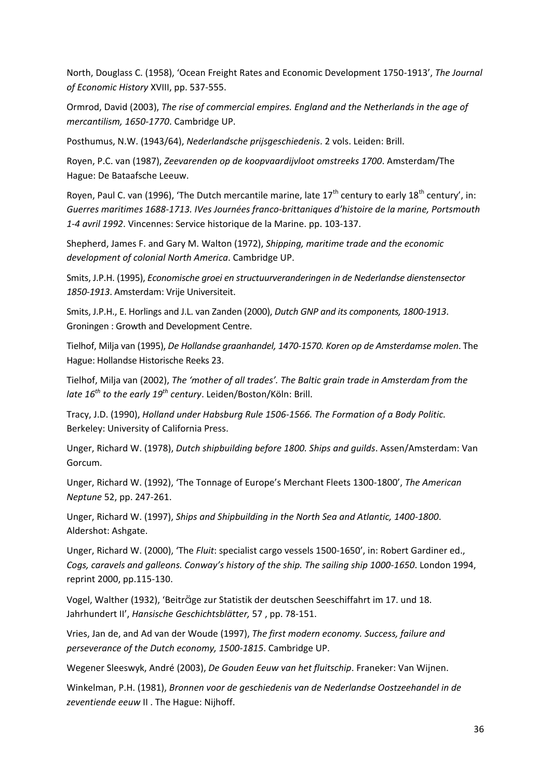North, Douglass C. (1958), 'Ocean Freight Rates and Economic Development 1750-1913', *The Journal of Economic History* XVIII, pp. 537-555.

Ormrod, David (2003), *The rise of commercial empires. England and the Netherlands in the age of mercantilism, 1650-1770*. Cambridge UP.

Posthumus, N.W. (1943/64), *Nederlandsche prijsgeschiedenis*. 2 vols. Leiden: Brill.

Royen, P.C. van (1987), *Zeevarenden op de koopvaardijvloot omstreeks 1700*. Amsterdam/The Hague: De Bataafsche Leeuw.

Royen, Paul C. van (1996), 'The Dutch mercantile marine, late  $17<sup>th</sup>$  century to early  $18<sup>th</sup>$  century', in: *Guerres maritimes 1688-1713. IVes Journées franco-brittaniques d'histoire de la marine, Portsmouth 1-4 avril 1992*. Vincennes: Service historique de la Marine. pp. 103-137.

Shepherd, James F. and Gary M. Walton (1972), *Shipping, maritime trade and the economic development of colonial North America*. Cambridge UP.

Smits, J.P.H. (1995), *Economische groei en structuurveranderingen in de Nederlandse dienstensector 1850-1913*. Amsterdam: Vrije Universiteit.

Smits, J.P.H., E. Horlings and J.L. van Zanden (2000), *Dutch GNP and its components, 1800-1913*. Groningen : Growth and Development Centre.

Tielhof, Milja van (1995), *De Hollandse graanhandel, 1470-1570. Koren op de Amsterdamse molen*. The Hague: Hollandse Historische Reeks 23.

Tielhof, Milja van (2002), *The 'mother of all trades'. The Baltic grain trade in Amsterdam from the late 16th to the early 19th century*. Leiden/Boston/Köln: Brill.

Tracy, J.D. (1990), *Holland under Habsburg Rule 1506-1566. The Formation of a Body Politic.* Berkeley: University of California Press.

Unger, Richard W. (1978), *Dutch shipbuilding before 1800. Ships and guilds*. Assen/Amsterdam: Van Gorcum.

Unger, Richard W. (1992), 'The Tonnage of Europe's Merchant Fleets 1300-1800', *The American Neptune* 52, pp. 247-261.

Unger, Richard W. (1997), *Ships and Shipbuilding in the North Sea and Atlantic, 1400-1800*. Aldershot: Ashgate.

Unger, Richard W. (2000), 'The *Fluit*: specialist cargo vessels 1500-1650', in: Robert Gardiner ed., *Cogs, caravels and galleons. Conway's history of the ship. The sailing ship 1000-1650*. London 1994, reprint 2000, pp.115-130.

Vogel, Walther (1932), 'Beiträge zur Statistik der deutschen Seeschiffahrt im 17. und 18. Jahrhundert II', *Hansische Geschichtsblätter,* 57 , pp. 78-151.

Vries, Jan de, and Ad van der Woude (1997), *The first modern economy. Success, failure and perseverance of the Dutch economy, 1500-1815*. Cambridge UP.

Wegener Sleeswyk, André (2003), *De Gouden Eeuw van het fluitschip*. Franeker: Van Wijnen.

Winkelman, P.H. (1981), *Bronnen voor de geschiedenis van de Nederlandse Oostzeehandel in de zeventiende eeuw* II . The Hague: Nijhoff.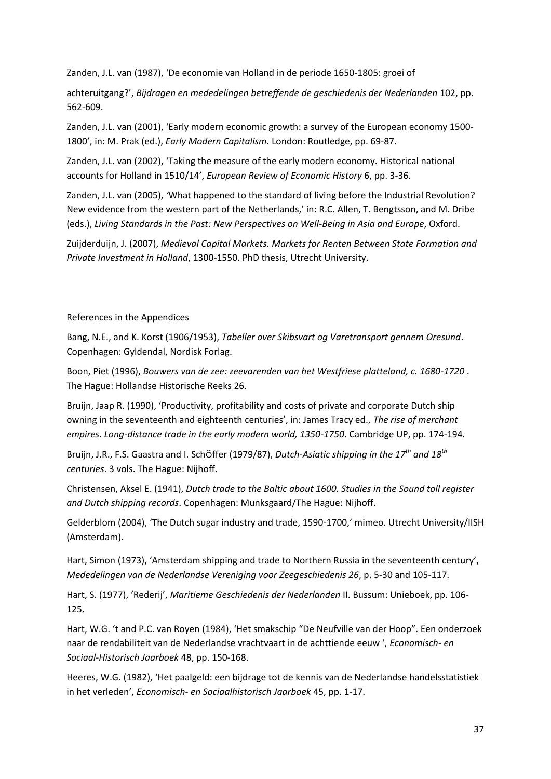Zanden, J.L. van (1987), 'De economie van Holland in de periode 1650-1805: groei of

achteruitgang?', *Bijdragen en mededelingen betreffende de geschiedenis der Nederlanden* 102, pp. 562-609.

Zanden, J.L. van (2001), 'Early modern economic growth: a survey of the European economy 1500- 1800', in: M. Prak (ed.), *Early Modern Capitalism.* London: Routledge, pp. 69-87.

Zanden, J.L. van (2002), 'Taking the measure of the early modern economy. Historical national accounts for Holland in 1510/14', *European Review of Economic History* 6, pp. 3-36.

Zanden, J.L. van (2005), *'*What happened to the standard of living before the Industrial Revolution? New evidence from the western part of the Netherlands,' in: R.C. Allen, T. Bengtsson, and M. Dribe (eds.), *Living Standards in the Past: New Perspectives on Well-Being in Asia and Europe*, Oxford.

Zuijderduijn, J. (2007), *Medieval Capital Markets. Markets for Renten Between State Formation and Private Investment in Holland*, 1300-1550. PhD thesis, Utrecht University.

#### References in the Appendices

Bang, N.E., and K. Korst (1906/1953), *Tabeller over Skibsvart og Varetransport gennem Oresund*. Copenhagen: Gyldendal, Nordisk Forlag.

Boon, Piet (1996), *Bouwers van de zee: zeevarenden van het Westfriese platteland, c. 1680-1720* . The Hague: Hollandse Historische Reeks 26.

Bruijn, Jaap R. (1990), 'Productivity, profitability and costs of private and corporate Dutch ship owning in the seventeenth and eighteenth centuries', in: James Tracy ed., *The rise of merchant empires. Long-distance trade in the early modern world, 1350-1750*. Cambridge UP, pp. 174-194.

Bruijn, J.R., F.S. Gaastra and I. Schöffer (1979/87), *Dutch-Asiatic shipping in the 17th and 18th centuries*. 3 vols. The Hague: Nijhoff.

Christensen, Aksel E. (1941), *Dutch trade to the Baltic about 1600. Studies in the Sound toll register and Dutch shipping records*. Copenhagen: Munksgaard/The Hague: Nijhoff.

Gelderblom (2004), 'The Dutch sugar industry and trade, 1590-1700,' mimeo. Utrecht University/IISH (Amsterdam).

Hart, Simon (1973), 'Amsterdam shipping and trade to Northern Russia in the seventeenth century', *Mededelingen van de Nederlandse Vereniging voor Zeegeschiedenis 26*, p. 5-30 and 105-117.

Hart, S. (1977), 'Rederij', *Maritieme Geschiedenis der Nederlanden* II. Bussum: Unieboek, pp. 106- 125.

Hart, W.G. 't and P.C. van Royen (1984), 'Het smakschip "De Neufville van der Hoop". Een onderzoek naar de rendabiliteit van de Nederlandse vrachtvaart in de achttiende eeuw ', *Economisch- en Sociaal-Historisch Jaarboek* 48, pp. 150-168.

Heeres, W.G. (1982), 'Het paalgeld: een bijdrage tot de kennis van de Nederlandse handelsstatistiek in het verleden', *Economisch- en Sociaalhistorisch Jaarboek* 45, pp. 1-17.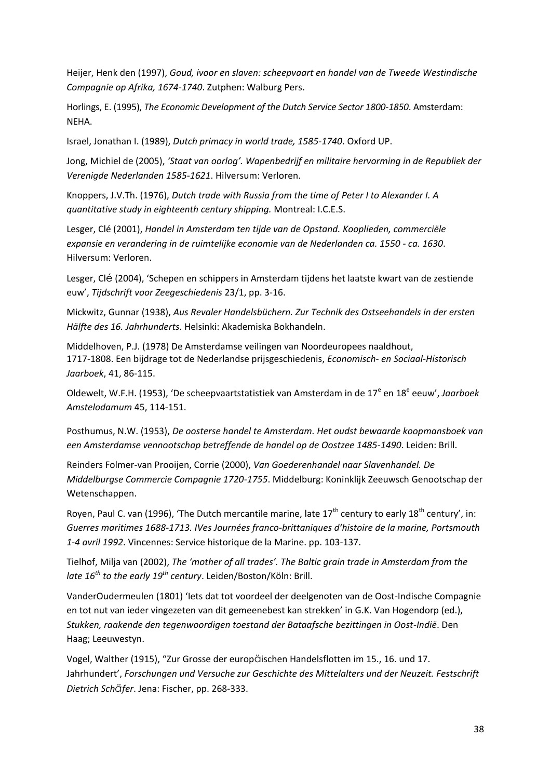Heijer, Henk den (1997), *Goud, ivoor en slaven: scheepvaart en handel van de Tweede Westindische Compagnie op Afrika, 1674-1740*. Zutphen: Walburg Pers.

Horlings, E. (1995), *The Economic Development of the Dutch Service Sector 1800-1850*. Amsterdam: NEHA.

Israel, Jonathan I. (1989), *Dutch primacy in world trade, 1585-1740*. Oxford UP.

Jong, Michiel de (2005), *'Staat van oorlog'. Wapenbedrijf en militaire hervorming in de Republiek der Verenigde Nederlanden 1585-1621*. Hilversum: Verloren.

Knoppers, J.V.Th. (1976), *Dutch trade with Russia from the time of Peter I to Alexander I. A quantitative study in eighteenth century shipping.* Montreal: I.C.E.S.

Lesger, Clé (2001), *Handel in Amsterdam ten tijde van de Opstand. Kooplieden, commerciële expansie en verandering in de ruimtelijke economie van de Nederlanden ca. 1550 - ca. 1630*. Hilversum: Verloren.

Lesger, Clé (2004), 'Schepen en schippers in Amsterdam tijdens het laatste kwart van de zestiende euw', *Tijdschrift voor Zeegeschiedenis* 23/1, pp. 3-16.

Mickwitz, Gunnar (1938), *Aus Revaler Handelsbüchern. Zur Technik des Ostseehandels in der ersten Hälfte des 16. Jahrhunderts*. Helsinki: Akademiska Bokhandeln.

Middelhoven, P.J. (1978) De Amsterdamse veilingen van Noordeuropees naaldhout, 1717-1808. Een bijdrage tot de Nederlandse prijsgeschiedenis, *Economisch- en Sociaal-Historisch Jaarboek*, 41, 86-115.

Oldewelt, W.F.H. (1953), 'De scheepvaartstatistiek van Amsterdam in de 17<sup>e</sup> en 18<sup>e</sup> eeuw', Jaarboek *Amstelodamum* 45, 114-151.

Posthumus, N.W. (1953), *De oosterse handel te Amsterdam. Het oudst bewaarde koopmansboek van een Amsterdamse vennootschap betreffende de handel op de Oostzee 1485-1490*. Leiden: Brill.

Reinders Folmer-van Prooijen, Corrie (2000), *Van Goederenhandel naar Slavenhandel. De Middelburgse Commercie Compagnie 1720-1755*. Middelburg: Koninklijk Zeeuwsch Genootschap der Wetenschappen.

Royen, Paul C. van (1996), 'The Dutch mercantile marine, late  $17<sup>th</sup>$  century to early  $18<sup>th</sup>$  century', in: *Guerres maritimes 1688-1713. IVes Journées franco-brittaniques d'histoire de la marine, Portsmouth 1-4 avril 1992*. Vincennes: Service historique de la Marine. pp. 103-137.

Tielhof, Milja van (2002), *The 'mother of all trades'. The Baltic grain trade in Amsterdam from the late 16th to the early 19th century*. Leiden/Boston/Köln: Brill.

VanderOudermeulen (1801) 'Iets dat tot voordeel der deelgenoten van de Oost-Indische Compagnie en tot nut van ieder vingezeten van dit gemeenebest kan strekken' in G.K. Van Hogendorp (ed.), *Stukken, raakende den tegenwoordigen toestand der Bataafsche bezittingen in Oost-Indië*. Den Haag; Leeuwestyn.

Vogel, Walther (1915), "Zur Grosse der europäischen Handelsflotten im 15., 16. und 17. Jahrhundert', *Forschungen und Versuche zur Geschichte des Mittelalters und der Neuzeit. Festschrift Dietrich Schäfer*. Jena: Fischer, pp. 268-333.